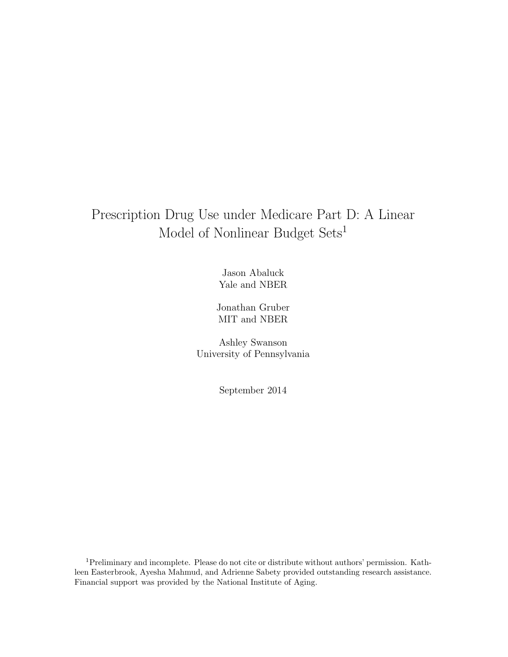# Prescription Drug Use under Medicare Part D: A Linear Model of Nonlinear Budget Sets<sup>1</sup>

Jason Abaluck Yale and NBER

Jonathan Gruber MIT and NBER

Ashley Swanson University of Pennsylvania

September 2014

<sup>1</sup>Preliminary and incomplete. Please do not cite or distribute without authors' permission. Kathleen Easterbrook, Ayesha Mahmud, and Adrienne Sabety provided outstanding research assistance. Financial support was provided by the National Institute of Aging.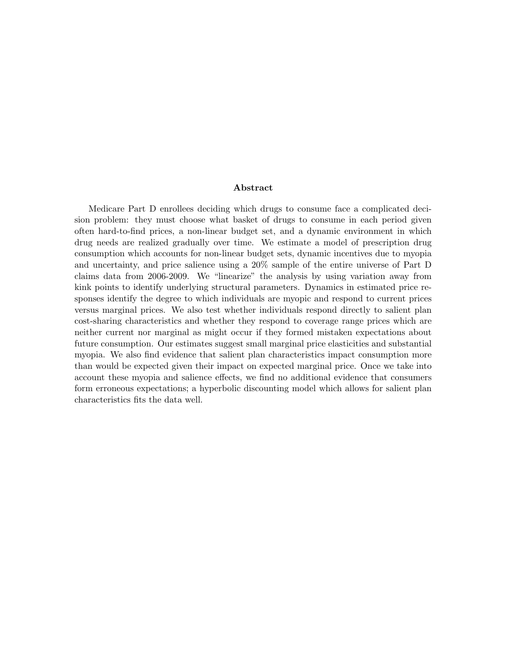#### Abstract

Medicare Part D enrollees deciding which drugs to consume face a complicated decision problem: they must choose what basket of drugs to consume in each period given often hard-to-find prices, a non-linear budget set, and a dynamic environment in which drug needs are realized gradually over time. We estimate a model of prescription drug consumption which accounts for non-linear budget sets, dynamic incentives due to myopia and uncertainty, and price salience using a 20% sample of the entire universe of Part D claims data from 2006-2009. We "linearize" the analysis by using variation away from kink points to identify underlying structural parameters. Dynamics in estimated price responses identify the degree to which individuals are myopic and respond to current prices versus marginal prices. We also test whether individuals respond directly to salient plan cost-sharing characteristics and whether they respond to coverage range prices which are neither current nor marginal as might occur if they formed mistaken expectations about future consumption. Our estimates suggest small marginal price elasticities and substantial myopia. We also find evidence that salient plan characteristics impact consumption more than would be expected given their impact on expected marginal price. Once we take into account these myopia and salience effects, we find no additional evidence that consumers form erroneous expectations; a hyperbolic discounting model which allows for salient plan characteristics fits the data well.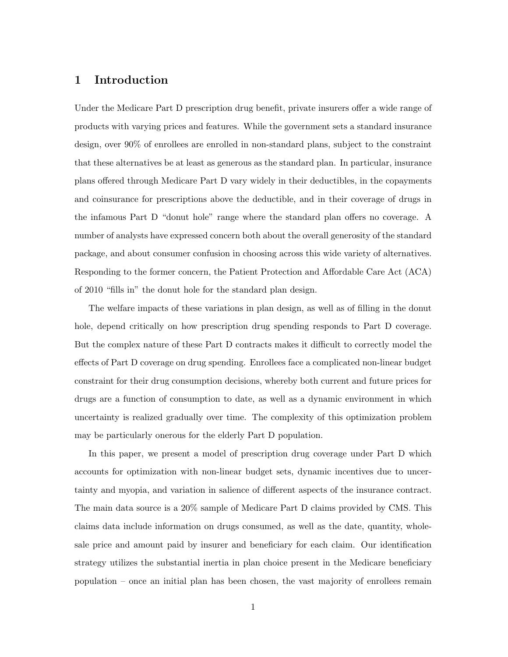## 1 Introduction

Under the Medicare Part D prescription drug benefit, private insurers offer a wide range of products with varying prices and features. While the government sets a standard insurance design, over 90% of enrollees are enrolled in non-standard plans, subject to the constraint that these alternatives be at least as generous as the standard plan. In particular, insurance plans offered through Medicare Part D vary widely in their deductibles, in the copayments and coinsurance for prescriptions above the deductible, and in their coverage of drugs in the infamous Part D "donut hole" range where the standard plan offers no coverage. A number of analysts have expressed concern both about the overall generosity of the standard package, and about consumer confusion in choosing across this wide variety of alternatives. Responding to the former concern, the Patient Protection and Affordable Care Act (ACA) of 2010 "fills in" the donut hole for the standard plan design.

The welfare impacts of these variations in plan design, as well as of filling in the donut hole, depend critically on how prescription drug spending responds to Part D coverage. But the complex nature of these Part D contracts makes it difficult to correctly model the effects of Part D coverage on drug spending. Enrollees face a complicated non-linear budget constraint for their drug consumption decisions, whereby both current and future prices for drugs are a function of consumption to date, as well as a dynamic environment in which uncertainty is realized gradually over time. The complexity of this optimization problem may be particularly onerous for the elderly Part D population.

In this paper, we present a model of prescription drug coverage under Part D which accounts for optimization with non-linear budget sets, dynamic incentives due to uncertainty and myopia, and variation in salience of different aspects of the insurance contract. The main data source is a 20% sample of Medicare Part D claims provided by CMS. This claims data include information on drugs consumed, as well as the date, quantity, wholesale price and amount paid by insurer and beneficiary for each claim. Our identification strategy utilizes the substantial inertia in plan choice present in the Medicare beneficiary population – once an initial plan has been chosen, the vast majority of enrollees remain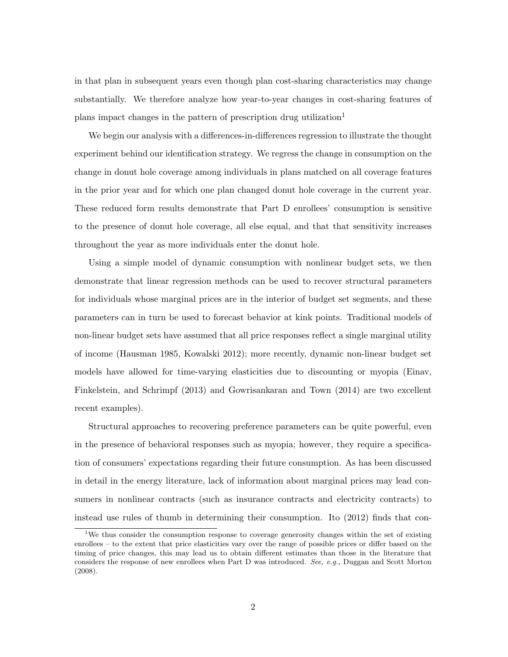in that plan in subsequent years even though plan cost-sharing characteristics may change substantially. We therefore analyze how year-to-year changes in cost-sharing features of plans impact changes in the pattern of prescription drug utilization<sup>1</sup>

We begin our analysis with a differences-in-differences regression to illustrate the thought experiment behind our identification strategy. We regress the change in consumption on the change in donut hole coverage among individuals in plans matched on all coverage features in the prior year and for which one plan changed donut hole coverage in the current year. These reduced form results demonstrate that Part D enrollees' consumption is sensitive to the presence of donut hole coverage, all else equal, and that that sensitivity increases throughout the year as more individuals enter the donut hole.

Using a simple model of dynamic consumption with nonlinear budget sets, we then demonstrate that linear regression methods can be used to recover structural parameters for individuals whose marginal prices are in the interior of budget set segments, and these parameters can in turn be used to forecast behavior at kink points. Traditional models of non-linear budget sets have assumed that all price responses reflect a single marginal utility of income (Hausman 1985, Kowalski 2012); more recently, dynamic non-linear budget set models have allowed for time-varying elasticities due to discounting or myopia (Einav, Finkelstein, and Schrimpf (2013) and Gowrisankaran and Town (2014) are two excellent recent examples).

Structural approaches to recovering preference parameters can be quite powerful, even in the presence of behavioral responses such as myopia; however, they require a specification of consumers' expectations regarding their future consumption. As has been discussed in detail in the energy literature, lack of information about marginal prices may lead consumers in nonlinear contracts (such as insurance contracts and electricity contracts) to instead use rules of thumb in determining their consumption. Ito (2012) finds that con-

<sup>&</sup>lt;sup>1</sup>We thus consider the consumption response to coverage generosity changes within the set of existing enrollees – to the extent that price elasticities vary over the range of possible prices or differ based on the timing of price changes, this may lead us to obtain different estimates than those in the literature that considers the response of new enrollees when Part D was introduced. See, e.g., Duggan and Scott Morton (2008).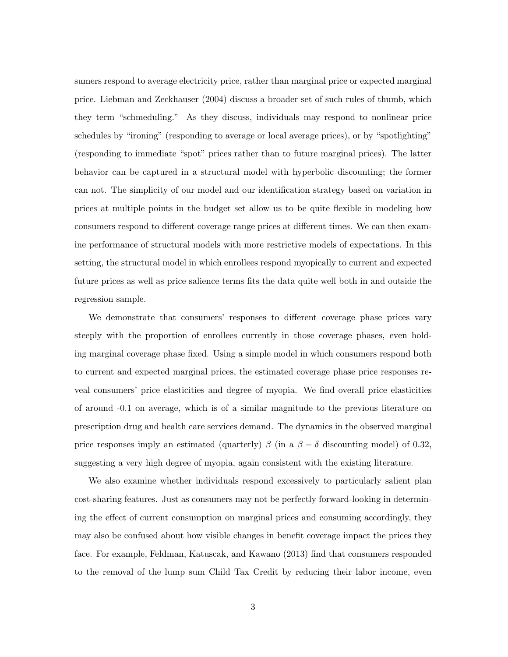sumers respond to average electricity price, rather than marginal price or expected marginal price. Liebman and Zeckhauser (2004) discuss a broader set of such rules of thumb, which they term "schmeduling." As they discuss, individuals may respond to nonlinear price schedules by "ironing" (responding to average or local average prices), or by "spotlighting" (responding to immediate "spot" prices rather than to future marginal prices). The latter behavior can be captured in a structural model with hyperbolic discounting; the former can not. The simplicity of our model and our identification strategy based on variation in prices at multiple points in the budget set allow us to be quite flexible in modeling how consumers respond to different coverage range prices at different times. We can then examine performance of structural models with more restrictive models of expectations. In this setting, the structural model in which enrollees respond myopically to current and expected future prices as well as price salience terms fits the data quite well both in and outside the regression sample.

We demonstrate that consumers' responses to different coverage phase prices vary steeply with the proportion of enrollees currently in those coverage phases, even holding marginal coverage phase fixed. Using a simple model in which consumers respond both to current and expected marginal prices, the estimated coverage phase price responses reveal consumers' price elasticities and degree of myopia. We find overall price elasticities of around -0.1 on average, which is of a similar magnitude to the previous literature on prescription drug and health care services demand. The dynamics in the observed marginal price responses imply an estimated (quarterly)  $\beta$  (in a  $\beta - \delta$  discounting model) of 0.32, suggesting a very high degree of myopia, again consistent with the existing literature.

We also examine whether individuals respond excessively to particularly salient plan cost-sharing features. Just as consumers may not be perfectly forward-looking in determining the effect of current consumption on marginal prices and consuming accordingly, they may also be confused about how visible changes in benefit coverage impact the prices they face. For example, Feldman, Katuscak, and Kawano (2013) find that consumers responded to the removal of the lump sum Child Tax Credit by reducing their labor income, even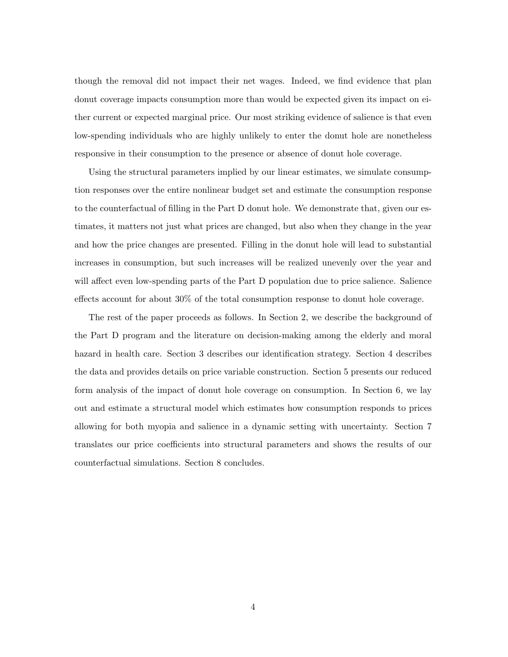though the removal did not impact their net wages. Indeed, we find evidence that plan donut coverage impacts consumption more than would be expected given its impact on either current or expected marginal price. Our most striking evidence of salience is that even low-spending individuals who are highly unlikely to enter the donut hole are nonetheless responsive in their consumption to the presence or absence of donut hole coverage.

Using the structural parameters implied by our linear estimates, we simulate consumption responses over the entire nonlinear budget set and estimate the consumption response to the counterfactual of filling in the Part D donut hole. We demonstrate that, given our estimates, it matters not just what prices are changed, but also when they change in the year and how the price changes are presented. Filling in the donut hole will lead to substantial increases in consumption, but such increases will be realized unevenly over the year and will affect even low-spending parts of the Part D population due to price salience. Salience effects account for about 30% of the total consumption response to donut hole coverage.

The rest of the paper proceeds as follows. In Section 2, we describe the background of the Part D program and the literature on decision-making among the elderly and moral hazard in health care. Section 3 describes our identification strategy. Section 4 describes the data and provides details on price variable construction. Section 5 presents our reduced form analysis of the impact of donut hole coverage on consumption. In Section 6, we lay out and estimate a structural model which estimates how consumption responds to prices allowing for both myopia and salience in a dynamic setting with uncertainty. Section 7 translates our price coefficients into structural parameters and shows the results of our counterfactual simulations. Section 8 concludes.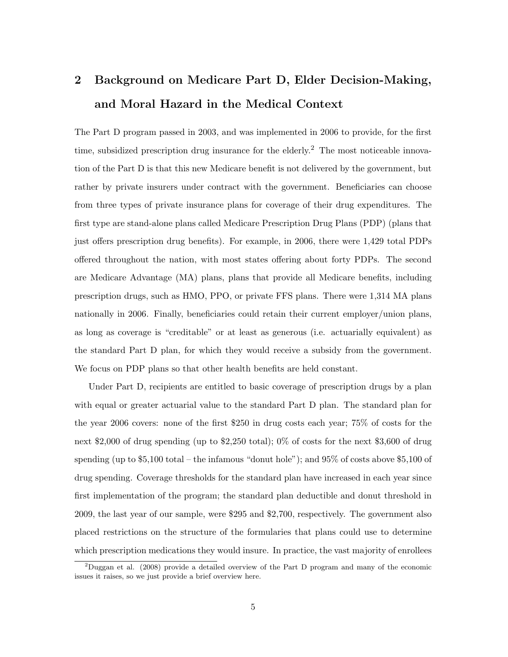# 2 Background on Medicare Part D, Elder Decision-Making, and Moral Hazard in the Medical Context

The Part D program passed in 2003, and was implemented in 2006 to provide, for the first time, subsidized prescription drug insurance for the elderly.<sup>2</sup> The most noticeable innovation of the Part D is that this new Medicare benefit is not delivered by the government, but rather by private insurers under contract with the government. Beneficiaries can choose from three types of private insurance plans for coverage of their drug expenditures. The first type are stand-alone plans called Medicare Prescription Drug Plans (PDP) (plans that just offers prescription drug benefits). For example, in 2006, there were 1,429 total PDPs offered throughout the nation, with most states offering about forty PDPs. The second are Medicare Advantage (MA) plans, plans that provide all Medicare benefits, including prescription drugs, such as HMO, PPO, or private FFS plans. There were 1,314 MA plans nationally in 2006. Finally, beneficiaries could retain their current employer/union plans, as long as coverage is "creditable" or at least as generous (i.e. actuarially equivalent) as the standard Part D plan, for which they would receive a subsidy from the government. We focus on PDP plans so that other health benefits are held constant.

Under Part D, recipients are entitled to basic coverage of prescription drugs by a plan with equal or greater actuarial value to the standard Part D plan. The standard plan for the year 2006 covers: none of the first \$250 in drug costs each year; 75% of costs for the next \$2,000 of drug spending (up to \$2,250 total); 0% of costs for the next \$3,600 of drug spending (up to \$5,100 total – the infamous "donut hole"); and 95% of costs above \$5,100 of drug spending. Coverage thresholds for the standard plan have increased in each year since first implementation of the program; the standard plan deductible and donut threshold in 2009, the last year of our sample, were \$295 and \$2,700, respectively. The government also placed restrictions on the structure of the formularies that plans could use to determine which prescription medications they would insure. In practice, the vast majority of enrollees

<sup>&</sup>lt;sup>2</sup>Duggan et al. (2008) provide a detailed overview of the Part D program and many of the economic issues it raises, so we just provide a brief overview here.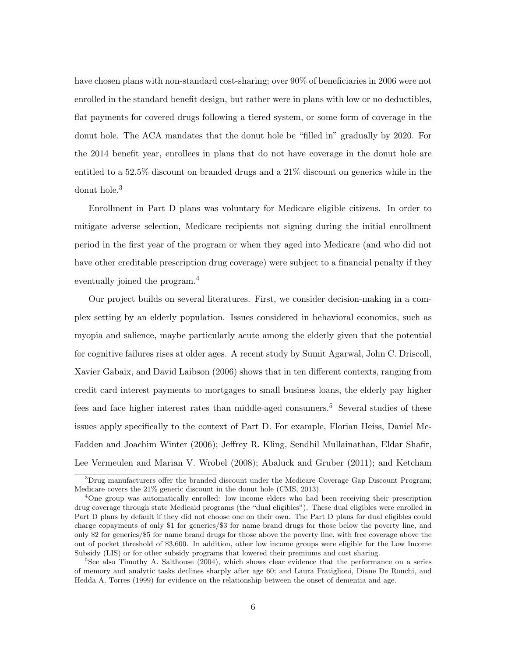have chosen plans with non-standard cost-sharing; over 90% of beneficiaries in 2006 were not enrolled in the standard benefit design, but rather were in plans with low or no deductibles, flat payments for covered drugs following a tiered system, or some form of coverage in the donut hole. The ACA mandates that the donut hole be "filled in" gradually by 2020. For the 2014 benefit year, enrollees in plans that do not have coverage in the donut hole are entitled to a 52.5% discount on branded drugs and a 21% discount on generics while in the donut hole.<sup>3</sup>

Enrollment in Part D plans was voluntary for Medicare eligible citizens. In order to mitigate adverse selection, Medicare recipients not signing during the initial enrollment period in the first year of the program or when they aged into Medicare (and who did not have other creditable prescription drug coverage) were subject to a financial penalty if they eventually joined the program.<sup>4</sup>

Our project builds on several literatures. First, we consider decision-making in a complex setting by an elderly population. Issues considered in behavioral economics, such as myopia and salience, maybe particularly acute among the elderly given that the potential for cognitive failures rises at older ages. A recent study by Sumit Agarwal, John C. Driscoll, Xavier Gabaix, and David Laibson (2006) shows that in ten different contexts, ranging from credit card interest payments to mortgages to small business loans, the elderly pay higher fees and face higher interest rates than middle-aged consumers.<sup>5</sup> Several studies of these issues apply specifically to the context of Part D. For example, Florian Heiss, Daniel Mc-Fadden and Joachim Winter (2006); Jeffrey R. Kling, Sendhil Mullainathan, Eldar Shafir, Lee Vermeulen and Marian V. Wrobel (2008); Abaluck and Gruber (2011); and Ketcham

<sup>&</sup>lt;sup>3</sup>Drug manufacturers offer the branded discount under the Medicare Coverage Gap Discount Program; Medicare covers the 21% generic discount in the donut hole (CMS, 2013).

<sup>&</sup>lt;sup>4</sup>One group was automatically enrolled: low income elders who had been receiving their prescription drug coverage through state Medicaid programs (the "dual eligibles"). These dual eligibles were enrolled in Part D plans by default if they did not choose one on their own. The Part D plans for dual eligibles could charge copayments of only \$1 for generics/\$3 for name brand drugs for those below the poverty line, and only \$2 for generics/\$5 for name brand drugs for those above the poverty line, with free coverage above the out of pocket threshold of \$3,600. In addition, other low income groups were eligible for the Low Income Subsidy (LIS) or for other subsidy programs that lowered their premiums and cost sharing.

<sup>&</sup>lt;sup>5</sup>See also Timothy A. Salthouse (2004), which shows clear evidence that the performance on a series of memory and analytic tasks declines sharply after age 60; and Laura Fratiglioni, Diane De Ronchi, and Hedda A. Torres (1999) for evidence on the relationship between the onset of dementia and age.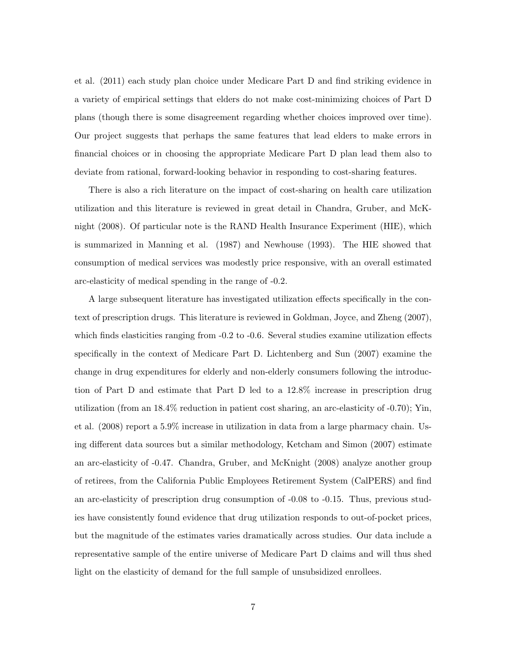et al. (2011) each study plan choice under Medicare Part D and find striking evidence in a variety of empirical settings that elders do not make cost-minimizing choices of Part D plans (though there is some disagreement regarding whether choices improved over time). Our project suggests that perhaps the same features that lead elders to make errors in financial choices or in choosing the appropriate Medicare Part D plan lead them also to deviate from rational, forward-looking behavior in responding to cost-sharing features.

There is also a rich literature on the impact of cost-sharing on health care utilization utilization and this literature is reviewed in great detail in Chandra, Gruber, and McKnight (2008). Of particular note is the RAND Health Insurance Experiment (HIE), which is summarized in Manning et al. (1987) and Newhouse (1993). The HIE showed that consumption of medical services was modestly price responsive, with an overall estimated arc-elasticity of medical spending in the range of -0.2.

A large subsequent literature has investigated utilization effects specifically in the context of prescription drugs. This literature is reviewed in Goldman, Joyce, and Zheng (2007), which finds elasticities ranging from  $-0.2$  to  $-0.6$ . Several studies examine utilization effects specifically in the context of Medicare Part D. Lichtenberg and Sun (2007) examine the change in drug expenditures for elderly and non-elderly consumers following the introduction of Part D and estimate that Part D led to a 12.8% increase in prescription drug utilization (from an 18.4% reduction in patient cost sharing, an arc-elasticity of -0.70); Yin, et al. (2008) report a 5.9% increase in utilization in data from a large pharmacy chain. Using different data sources but a similar methodology, Ketcham and Simon (2007) estimate an arc-elasticity of -0.47. Chandra, Gruber, and McKnight (2008) analyze another group of retirees, from the California Public Employees Retirement System (CalPERS) and find an arc-elasticity of prescription drug consumption of -0.08 to -0.15. Thus, previous studies have consistently found evidence that drug utilization responds to out-of-pocket prices, but the magnitude of the estimates varies dramatically across studies. Our data include a representative sample of the entire universe of Medicare Part D claims and will thus shed light on the elasticity of demand for the full sample of unsubsidized enrollees.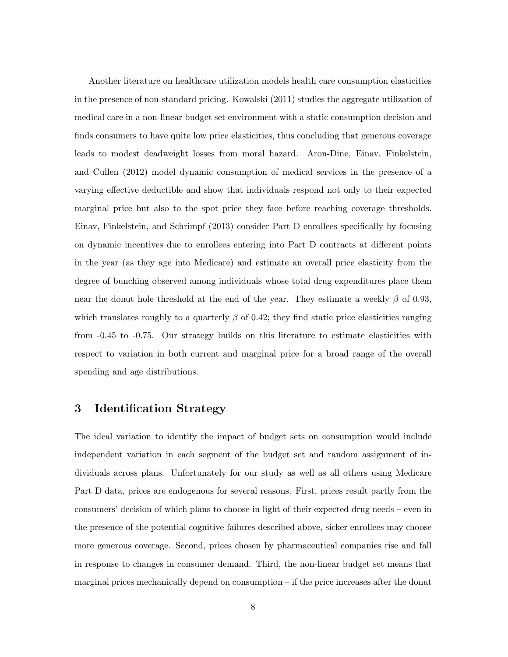Another literature on healthcare utilization models health care consumption elasticities in the presence of non-standard pricing. Kowalski (2011) studies the aggregate utilization of medical care in a non-linear budget set environment with a static consumption decision and finds consumers to have quite low price elasticities, thus concluding that generous coverage leads to modest deadweight losses from moral hazard. Aron-Dine, Einav, Finkelstein, and Cullen (2012) model dynamic consumption of medical services in the presence of a varying effective deductible and show that individuals respond not only to their expected marginal price but also to the spot price they face before reaching coverage thresholds. Einav, Finkelstein, and Schrimpf (2013) consider Part D enrollees specifically by focusing on dynamic incentives due to enrollees entering into Part D contracts at different points in the year (as they age into Medicare) and estimate an overall price elasticity from the degree of bunching observed among individuals whose total drug expenditures place them near the donut hole threshold at the end of the year. They estimate a weekly  $\beta$  of 0.93, which translates roughly to a quarterly  $\beta$  of 0.42; they find static price elasticities ranging from -0.45 to -0.75. Our strategy builds on this literature to estimate elasticities with respect to variation in both current and marginal price for a broad range of the overall spending and age distributions.

## 3 Identification Strategy

The ideal variation to identify the impact of budget sets on consumption would include independent variation in each segment of the budget set and random assignment of individuals across plans. Unfortunately for our study as well as all others using Medicare Part D data, prices are endogenous for several reasons. First, prices result partly from the consumers' decision of which plans to choose in light of their expected drug needs – even in the presence of the potential cognitive failures described above, sicker enrollees may choose more generous coverage. Second, prices chosen by pharmaceutical companies rise and fall in response to changes in consumer demand. Third, the non-linear budget set means that marginal prices mechanically depend on consumption – if the price increases after the donut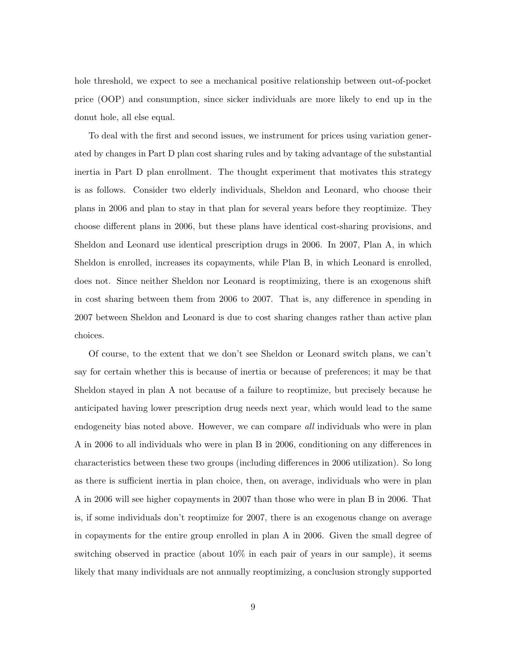hole threshold, we expect to see a mechanical positive relationship between out-of-pocket price (OOP) and consumption, since sicker individuals are more likely to end up in the donut hole, all else equal.

To deal with the first and second issues, we instrument for prices using variation generated by changes in Part D plan cost sharing rules and by taking advantage of the substantial inertia in Part D plan enrollment. The thought experiment that motivates this strategy is as follows. Consider two elderly individuals, Sheldon and Leonard, who choose their plans in 2006 and plan to stay in that plan for several years before they reoptimize. They choose different plans in 2006, but these plans have identical cost-sharing provisions, and Sheldon and Leonard use identical prescription drugs in 2006. In 2007, Plan A, in which Sheldon is enrolled, increases its copayments, while Plan B, in which Leonard is enrolled, does not. Since neither Sheldon nor Leonard is reoptimizing, there is an exogenous shift in cost sharing between them from 2006 to 2007. That is, any difference in spending in 2007 between Sheldon and Leonard is due to cost sharing changes rather than active plan choices.

Of course, to the extent that we don't see Sheldon or Leonard switch plans, we can't say for certain whether this is because of inertia or because of preferences; it may be that Sheldon stayed in plan A not because of a failure to reoptimize, but precisely because he anticipated having lower prescription drug needs next year, which would lead to the same endogeneity bias noted above. However, we can compare *all* individuals who were in plan A in 2006 to all individuals who were in plan B in 2006, conditioning on any differences in characteristics between these two groups (including differences in 2006 utilization). So long as there is sufficient inertia in plan choice, then, on average, individuals who were in plan A in 2006 will see higher copayments in 2007 than those who were in plan B in 2006. That is, if some individuals don't reoptimize for 2007, there is an exogenous change on average in copayments for the entire group enrolled in plan A in 2006. Given the small degree of switching observed in practice (about 10% in each pair of years in our sample), it seems likely that many individuals are not annually reoptimizing, a conclusion strongly supported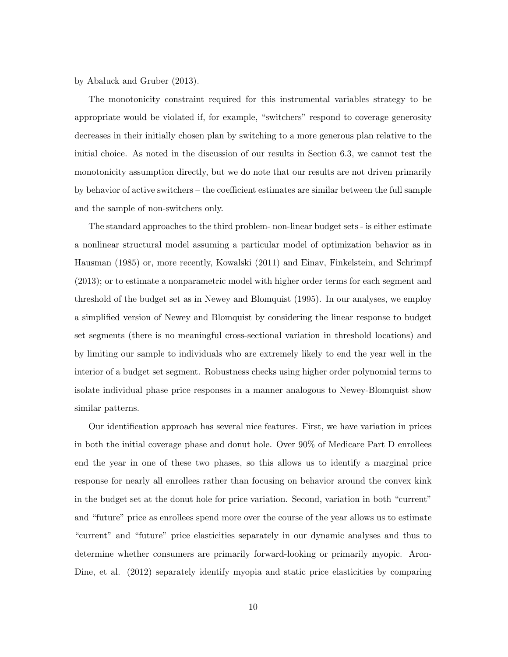by Abaluck and Gruber (2013).

The monotonicity constraint required for this instrumental variables strategy to be appropriate would be violated if, for example, "switchers" respond to coverage generosity decreases in their initially chosen plan by switching to a more generous plan relative to the initial choice. As noted in the discussion of our results in Section 6.3, we cannot test the monotonicity assumption directly, but we do note that our results are not driven primarily by behavior of active switchers – the coefficient estimates are similar between the full sample and the sample of non-switchers only.

The standard approaches to the third problem- non-linear budget sets - is either estimate a nonlinear structural model assuming a particular model of optimization behavior as in Hausman (1985) or, more recently, Kowalski (2011) and Einav, Finkelstein, and Schrimpf (2013); or to estimate a nonparametric model with higher order terms for each segment and threshold of the budget set as in Newey and Blomquist (1995). In our analyses, we employ a simplified version of Newey and Blomquist by considering the linear response to budget set segments (there is no meaningful cross-sectional variation in threshold locations) and by limiting our sample to individuals who are extremely likely to end the year well in the interior of a budget set segment. Robustness checks using higher order polynomial terms to isolate individual phase price responses in a manner analogous to Newey-Blomquist show similar patterns.

Our identification approach has several nice features. First, we have variation in prices in both the initial coverage phase and donut hole. Over 90% of Medicare Part D enrollees end the year in one of these two phases, so this allows us to identify a marginal price response for nearly all enrollees rather than focusing on behavior around the convex kink in the budget set at the donut hole for price variation. Second, variation in both "current" and "future" price as enrollees spend more over the course of the year allows us to estimate "current" and "future" price elasticities separately in our dynamic analyses and thus to determine whether consumers are primarily forward-looking or primarily myopic. Aron-Dine, et al. (2012) separately identify myopia and static price elasticities by comparing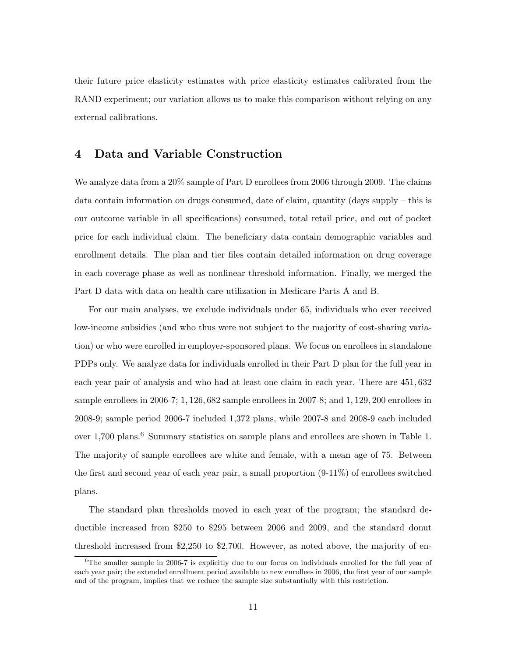their future price elasticity estimates with price elasticity estimates calibrated from the RAND experiment; our variation allows us to make this comparison without relying on any external calibrations.

# 4 Data and Variable Construction

We analyze data from a  $20\%$  sample of Part D enrollees from 2006 through 2009. The claims data contain information on drugs consumed, date of claim, quantity (days supply – this is our outcome variable in all specifications) consumed, total retail price, and out of pocket price for each individual claim. The beneficiary data contain demographic variables and enrollment details. The plan and tier files contain detailed information on drug coverage in each coverage phase as well as nonlinear threshold information. Finally, we merged the Part D data with data on health care utilization in Medicare Parts A and B.

For our main analyses, we exclude individuals under 65, individuals who ever received low-income subsidies (and who thus were not subject to the majority of cost-sharing variation) or who were enrolled in employer-sponsored plans. We focus on enrollees in standalone PDPs only. We analyze data for individuals enrolled in their Part D plan for the full year in each year pair of analysis and who had at least one claim in each year. There are 451, 632 sample enrollees in 2006-7; 1, 126, 682 sample enrollees in 2007-8; and 1, 129, 200 enrollees in 2008-9; sample period 2006-7 included 1,372 plans, while 2007-8 and 2008-9 each included over 1,700 plans.<sup>6</sup> Summary statistics on sample plans and enrollees are shown in Table 1. The majority of sample enrollees are white and female, with a mean age of 75. Between the first and second year of each year pair, a small proportion (9-11%) of enrollees switched plans.

The standard plan thresholds moved in each year of the program; the standard deductible increased from \$250 to \$295 between 2006 and 2009, and the standard donut threshold increased from \$2,250 to \$2,700. However, as noted above, the majority of en-

 ${}^{6}$ The smaller sample in 2006-7 is explicitly due to our focus on individuals enrolled for the full year of each year pair; the extended enrollment period available to new enrollees in 2006, the first year of our sample and of the program, implies that we reduce the sample size substantially with this restriction.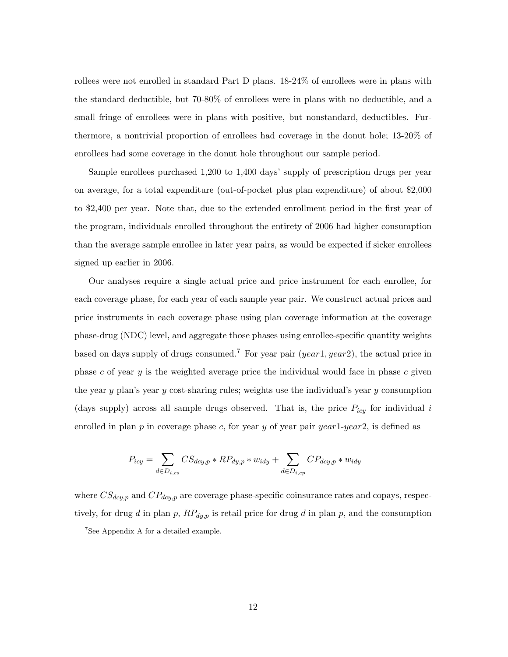rollees were not enrolled in standard Part D plans.  $18-24\%$  of enrollees were in plans with the standard deductible, but 70-80% of enrollees were in plans with no deductible, and a small fringe of enrollees were in plans with positive, but nonstandard, deductibles. Furthermore, a nontrivial proportion of enrollees had coverage in the donut hole; 13-20% of enrollees had some coverage in the donut hole throughout our sample period.

Sample enrollees purchased 1,200 to 1,400 days' supply of prescription drugs per year on average, for a total expenditure (out-of-pocket plus plan expenditure) of about \$2,000 to \$2,400 per year. Note that, due to the extended enrollment period in the first year of the program, individuals enrolled throughout the entirety of 2006 had higher consumption than the average sample enrollee in later year pairs, as would be expected if sicker enrollees signed up earlier in 2006.

Our analyses require a single actual price and price instrument for each enrollee, for each coverage phase, for each year of each sample year pair. We construct actual prices and price instruments in each coverage phase using plan coverage information at the coverage phase-drug (NDC) level, and aggregate those phases using enrollee-specific quantity weights based on days supply of drugs consumed.<sup>7</sup> For year pair (year1, year2), the actual price in phase c of year y is the weighted average price the individual would face in phase c given the year y plan's year y cost-sharing rules; weights use the individual's year y consumption (days supply) across all sample drugs observed. That is, the price  $P_{icy}$  for individual i enrolled in plan  $p$  in coverage phase  $c$ , for year  $y$  of year pair  $year1-year2$ , is defined as

$$
P_{icy} = \sum_{d \in D_{i,cs}} CS_{dcy,p} * RP_{dy,p} * w_{idy} + \sum_{d \in D_{i,cp}} CP_{dcy,p} * w_{idy}
$$

where  $CS_{dcy,p}$  and  $CP_{dcy,p}$  are coverage phase-specific coinsurance rates and copays, respectively, for drug d in plan p,  $RP_{dy,p}$  is retail price for drug d in plan p, and the consumption

<sup>7</sup>See Appendix A for a detailed example.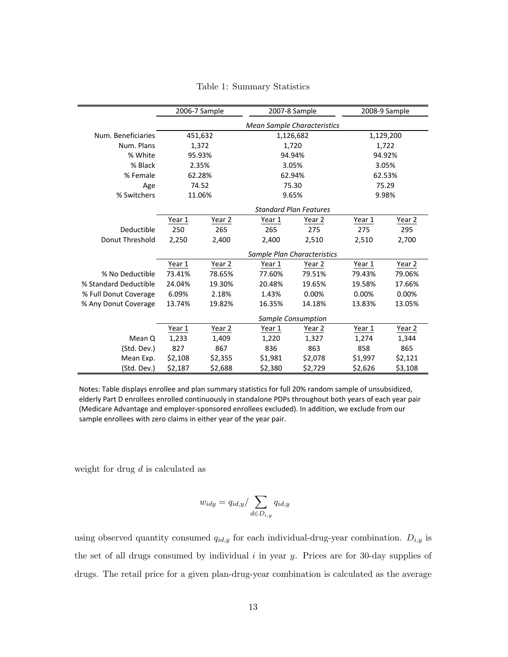|                       |                | 2006-7 Sample |                                    | 2007-8 Sample      |         | 2008-9 Sample |  |
|-----------------------|----------------|---------------|------------------------------------|--------------------|---------|---------------|--|
|                       |                |               | <b>Mean Sample Characteristics</b> |                    |         |               |  |
| Num. Beneficiaries    |                | 451,632       |                                    | 1,126,682          |         | 1,129,200     |  |
| Num. Plans            | 1,372          |               |                                    | 1,720              |         | 1,722         |  |
| % White               | 95.93%         |               | 94.94%                             |                    | 94.92%  |               |  |
| % Black               | 2.35%          |               |                                    | 3.05%              | 3.05%   |               |  |
| % Female              | 62.28%         |               | 62.94%                             |                    | 62.53%  |               |  |
| Age                   |                | 74.52         |                                    | 75.30              | 75.29   |               |  |
| % Switchers           | 11.06%         |               |                                    | 9.65%              | 9.98%   |               |  |
|                       |                |               |                                    |                    |         |               |  |
|                       | Year 1         | Year 2        | Year 1                             | Year 2             | Year 1  | Year 2        |  |
| Deductible            | 250            | 265           | 265                                | 275                | 275     | 295           |  |
| Donut Threshold       | 2,250<br>2,400 |               | 2,400                              | 2,510              | 2,510   | 2,700         |  |
|                       |                |               | Sample Plan Characteristics        |                    |         |               |  |
|                       | Year 1         | Year 2        | Year 1                             | Year 2             | Year 1  | Year 2        |  |
| % No Deductible       | 73.41%         | 78.65%        | 77.60%                             | 79.51%             | 79.43%  | 79.06%        |  |
| % Standard Deductible | 24.04%         | 19.30%        | 20.48%                             | 19.65%             | 19.58%  | 17.66%        |  |
| % Full Donut Coverage | 6.09%          | 2.18%         | 1.43%                              | 0.00%              | 0.00%   | 0.00%         |  |
| % Any Donut Coverage  | 13.74%         | 19.82%        | 16.35%                             | 14.18%             | 13.83%  | 13.05%        |  |
|                       |                |               |                                    | Sample Consumption |         |               |  |
|                       | Year 1         | Year 2        | Year 1                             | Year 2             | Year 1  | Year 2        |  |
| Mean Q                | 1,233          | 1,409         | 1,220                              | 1,327              | 1,274   | 1,344         |  |
| (Std. Dev.)           | 827            | 867           | 836                                | 863                | 858     | 865           |  |
| Mean Exp.             | \$2,108        | \$2,355       | \$1,981                            | \$2,078            | \$1,997 | \$2,121       |  |
| (Std. Dev.)           | \$2,187        | \$2,688       | \$2,380                            | \$2,729            | \$2,626 | \$3,108       |  |

Table 1: Summary Statistics

Notes: Table displays enrollee and plan summary statistics for full 20% random sample of unsubsidized, elderly Part D enrollees enrolled continuously in standalone PDPs throughout both years of each year pair (Medicare Advantage and employer-sponsored enrollees excluded). In addition, we exclude from our sample enrollees with zero claims in either year of the year pair.

weight for drug  $d$  is calculated as

$$
w_{idy} = q_{id,y} / \sum_{d \in D_{i,y}} q_{id,y}
$$

using observed quantity consumed  $q_{id,y}$  for each individual-drug-year combination.  $D_{i,y}$  is the set of all drugs consumed by individual  $i$  in year  $y$ . Prices are for 30-day supplies of drugs. The retail price for a given plan-drug-year combination is calculated as the average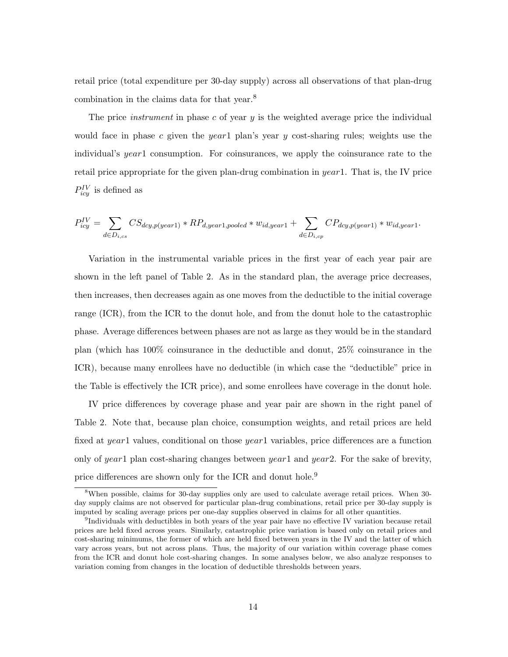retail price (total expenditure per 30-day supply) across all observations of that plan-drug combination in the claims data for that year.<sup>8</sup>

The price *instrument* in phase c of year  $y$  is the weighted average price the individual would face in phase c given the year1 plan's year y cost-sharing rules; weights use the individual's year1 consumption. For coinsurances, we apply the coinsurance rate to the retail price appropriate for the given plan-drug combination in  $year1$ . That is, the IV price  $P_{icy}^{IV}$  is defined as

$$
P_{icy}^{IV} = \sum_{d \in D_{i,cs}} CS_{dcy,p(year1)} * RP_{d,year1,pooled} * w_{id,year1} + \sum_{d \in D_{i,cp}} CP_{dcy,p(year1)} * w_{id,year1}.
$$

Variation in the instrumental variable prices in the first year of each year pair are shown in the left panel of Table 2. As in the standard plan, the average price decreases, then increases, then decreases again as one moves from the deductible to the initial coverage range (ICR), from the ICR to the donut hole, and from the donut hole to the catastrophic phase. Average differences between phases are not as large as they would be in the standard plan (which has 100% coinsurance in the deductible and donut, 25% coinsurance in the ICR), because many enrollees have no deductible (in which case the "deductible" price in the Table is effectively the ICR price), and some enrollees have coverage in the donut hole.

IV price differences by coverage phase and year pair are shown in the right panel of Table 2. Note that, because plan choice, consumption weights, and retail prices are held fixed at year1 values, conditional on those year1 variables, price differences are a function only of year1 plan cost-sharing changes between year1 and year2. For the sake of brevity, price differences are shown only for the ICR and donut hole.<sup>9</sup>

<sup>&</sup>lt;sup>8</sup>When possible, claims for 30-day supplies only are used to calculate average retail prices. When 30day supply claims are not observed for particular plan-drug combinations, retail price per 30-day supply is imputed by scaling average prices per one-day supplies observed in claims for all other quantities.

<sup>&</sup>lt;sup>9</sup>Individuals with deductibles in both years of the year pair have no effective IV variation because retail prices are held fixed across years. Similarly, catastrophic price variation is based only on retail prices and cost-sharing minimums, the former of which are held fixed between years in the IV and the latter of which vary across years, but not across plans. Thus, the majority of our variation within coverage phase comes from the ICR and donut hole cost-sharing changes. In some analyses below, we also analyze responses to variation coming from changes in the location of deductible thresholds between years.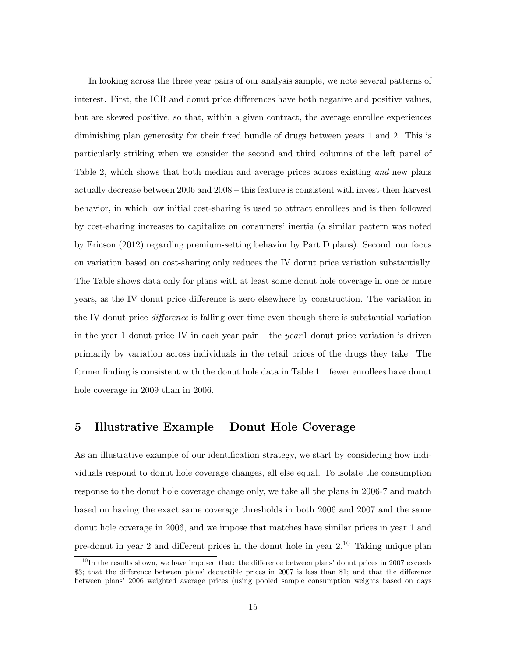In looking across the three year pairs of our analysis sample, we note several patterns of interest. First, the ICR and donut price differences have both negative and positive values, but are skewed positive, so that, within a given contract, the average enrollee experiences diminishing plan generosity for their fixed bundle of drugs between years 1 and 2. This is particularly striking when we consider the second and third columns of the left panel of Table 2, which shows that both median and average prices across existing and new plans actually decrease between 2006 and 2008 – this feature is consistent with invest-then-harvest behavior, in which low initial cost-sharing is used to attract enrollees and is then followed by cost-sharing increases to capitalize on consumers' inertia (a similar pattern was noted by Ericson (2012) regarding premium-setting behavior by Part D plans). Second, our focus on variation based on cost-sharing only reduces the IV donut price variation substantially. The Table shows data only for plans with at least some donut hole coverage in one or more years, as the IV donut price difference is zero elsewhere by construction. The variation in the IV donut price *difference* is falling over time even though there is substantial variation in the year 1 donut price IV in each year pair – the year 1 donut price variation is driven primarily by variation across individuals in the retail prices of the drugs they take. The former finding is consistent with the donut hole data in Table 1 – fewer enrollees have donut hole coverage in 2009 than in 2006.

## 5 Illustrative Example – Donut Hole Coverage

As an illustrative example of our identification strategy, we start by considering how individuals respond to donut hole coverage changes, all else equal. To isolate the consumption response to the donut hole coverage change only, we take all the plans in 2006-7 and match based on having the exact same coverage thresholds in both 2006 and 2007 and the same donut hole coverage in 2006, and we impose that matches have similar prices in year 1 and pre-donut in year 2 and different prices in the donut hole in year  $2^{10}$ . Taking unique plan

 $10$ In the results shown, we have imposed that: the difference between plans' donut prices in 2007 exceeds \$3; that the difference between plans' deductible prices in 2007 is less than \$1; and that the difference between plans' 2006 weighted average prices (using pooled sample consumption weights based on days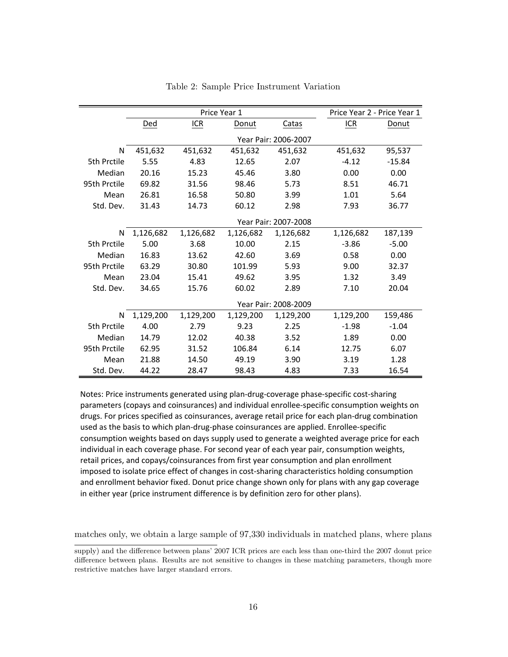|              |                      |           | Price Year 1 |                      | Price Year 2 - Price Year 1 |          |  |  |  |  |
|--------------|----------------------|-----------|--------------|----------------------|-----------------------------|----------|--|--|--|--|
|              | Ded                  | ICR       | Donut        | Catas                | ICR                         | Donut    |  |  |  |  |
|              |                      |           |              | Year Pair: 2006-2007 |                             |          |  |  |  |  |
| N            | 451,632              | 451,632   | 451,632      | 451,632              | 451,632                     | 95,537   |  |  |  |  |
| 5th Prctile  | 5.55                 | 4.83      | 12.65        | 2.07                 | $-4.12$                     | $-15.84$ |  |  |  |  |
| Median       | 20.16                | 15.23     | 45.46        | 3.80                 | 0.00                        | 0.00     |  |  |  |  |
| 95th Prctile | 69.82                | 31.56     | 98.46        | 5.73                 | 8.51                        | 46.71    |  |  |  |  |
| Mean         | 26.81                | 16.58     | 50.80        | 3.99                 | 1.01                        | 5.64     |  |  |  |  |
| Std. Dev.    | 31.43                | 14.73     | 60.12        | 2.98                 | 7.93                        | 36.77    |  |  |  |  |
|              | Year Pair: 2007-2008 |           |              |                      |                             |          |  |  |  |  |
| N            | 1,126,682            | 1,126,682 | 1,126,682    | 1,126,682            | 1,126,682                   | 187,139  |  |  |  |  |
| 5th Prctile  | 5.00                 | 3.68      | 10.00        | 2.15                 | $-3.86$                     | $-5.00$  |  |  |  |  |
| Median       | 16.83                | 13.62     | 42.60        | 3.69                 | 0.58                        | 0.00     |  |  |  |  |
| 95th Prctile | 63.29                | 30.80     | 101.99       | 5.93                 | 9.00                        | 32.37    |  |  |  |  |
| Mean         | 23.04                | 15.41     | 49.62        | 3.95                 | 1.32                        | 3.49     |  |  |  |  |
| Std. Dev.    | 34.65                | 15.76     | 60.02        | 2.89                 | 7.10                        | 20.04    |  |  |  |  |
|              |                      |           |              | Year Pair: 2008-2009 |                             |          |  |  |  |  |
| N            | 1,129,200            | 1,129,200 | 1,129,200    | 1,129,200            | 1,129,200                   | 159,486  |  |  |  |  |
| 5th Prctile  | 4.00                 | 2.79      | 9.23         | 2.25                 | $-1.98$                     | $-1.04$  |  |  |  |  |
| Median       | 14.79                | 12.02     | 40.38        | 3.52                 | 1.89                        | 0.00     |  |  |  |  |
| 95th Prctile | 62.95                | 31.52     | 106.84       | 6.14                 | 12.75                       | 6.07     |  |  |  |  |
| Mean         | 21.88                | 14.50     | 49.19        | 3.90                 | 3.19                        | 1.28     |  |  |  |  |
| Std. Dev.    | 44.22                | 28.47     | 98.43        | 4.83                 | 7.33                        | 16.54    |  |  |  |  |

Table 2: Sample Price Instrument Variation

Notes: Price instruments generated using plan-drug-coverage phase-specific cost-sharing parameters (copays and coinsurances) and individual enrollee-specific consumption weights on drugs. For prices specified as coinsurances, average retail price for each plan-drug combination used as the basis to which plan-drug-phase coinsurances are applied. Enrollee-specific consumption weights based on days supply used to generate a weighted average price for each individual in each coverage phase. For second year of each year pair, consumption weights, retail prices, and copays/coinsurances from first year consumption and plan enrollment imposed to isolate price effect of changes in cost-sharing characteristics holding consumption and enrollment behavior fixed. Donut price change shown only for plans with any gap coverage in either year (price instrument difference is by definition zero for other plans).

matches only, we obtain a large sample of 97,330 individuals in matched plans, where plans

supply) and the difference between plans' 2007 ICR prices are each less than one-third the 2007 donut price difference between plans. Results are not sensitive to changes in these matching parameters, though more restrictive matches have larger standard errors.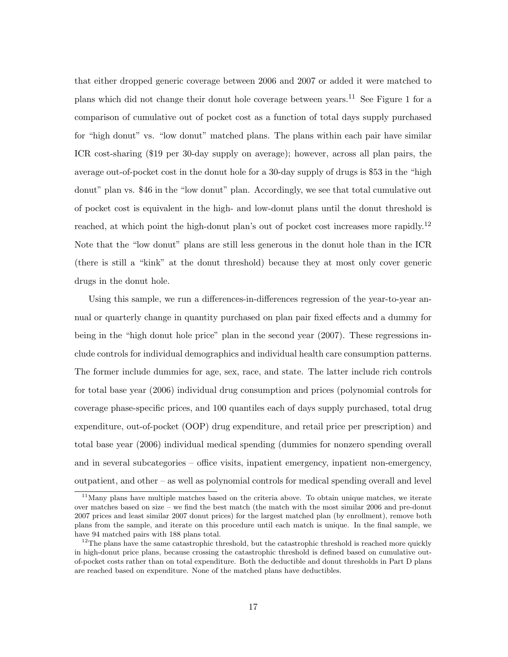that either dropped generic coverage between 2006 and 2007 or added it were matched to plans which did not change their donut hole coverage between years.<sup>11</sup> See Figure 1 for a comparison of cumulative out of pocket cost as a function of total days supply purchased for "high donut" vs. "low donut" matched plans. The plans within each pair have similar ICR cost-sharing (\$19 per 30-day supply on average); however, across all plan pairs, the average out-of-pocket cost in the donut hole for a 30-day supply of drugs is \$53 in the "high donut" plan vs. \$46 in the "low donut" plan. Accordingly, we see that total cumulative out of pocket cost is equivalent in the high- and low-donut plans until the donut threshold is reached, at which point the high-donut plan's out of pocket cost increases more rapidly.<sup>12</sup> Note that the "low donut" plans are still less generous in the donut hole than in the ICR (there is still a "kink" at the donut threshold) because they at most only cover generic drugs in the donut hole.

Using this sample, we run a differences-in-differences regression of the year-to-year annual or quarterly change in quantity purchased on plan pair fixed effects and a dummy for being in the "high donut hole price" plan in the second year (2007). These regressions include controls for individual demographics and individual health care consumption patterns. The former include dummies for age, sex, race, and state. The latter include rich controls for total base year (2006) individual drug consumption and prices (polynomial controls for coverage phase-specific prices, and 100 quantiles each of days supply purchased, total drug expenditure, out-of-pocket (OOP) drug expenditure, and retail price per prescription) and total base year (2006) individual medical spending (dummies for nonzero spending overall and in several subcategories – office visits, inpatient emergency, inpatient non-emergency, outpatient, and other – as well as polynomial controls for medical spending overall and level

 $11$ Many plans have multiple matches based on the criteria above. To obtain unique matches, we iterate over matches based on size – we find the best match (the match with the most similar 2006 and pre-donut 2007 prices and least similar 2007 donut prices) for the largest matched plan (by enrollment), remove both plans from the sample, and iterate on this procedure until each match is unique. In the final sample, we have 94 matched pairs with 188 plans total.

 $12$ The plans have the same catastrophic threshold, but the catastrophic threshold is reached more quickly in high-donut price plans, because crossing the catastrophic threshold is defined based on cumulative outof-pocket costs rather than on total expenditure. Both the deductible and donut thresholds in Part D plans are reached based on expenditure. None of the matched plans have deductibles.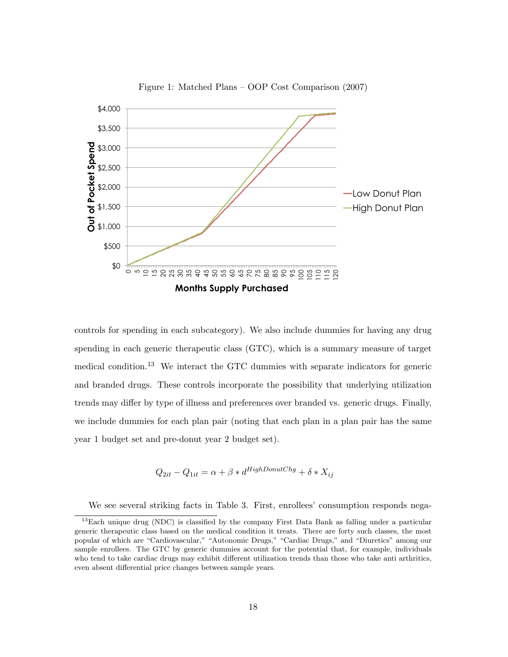

Figure 1: Matched Plans – OOP Cost Comparison (2007)

controls for spending in each subcategory). We also include dummies for having any drug spending in each generic therapeutic class (GTC), which is a summary measure of target medical condition.<sup>13</sup> We interact the GTC dummies with separate indicators for generic and branded drugs. These controls incorporate the possibility that underlying utilization trends may differ by type of illness and preferences over branded vs. generic drugs. Finally, we include dummies for each plan pair (noting that each plan in a plan pair has the same year 1 budget set and pre-donut year 2 budget set).

$$
Q_{2it} - Q_{1it} = \alpha + \beta * d^{HighDonutChg} + \delta * X_{ij}
$$

We see several striking facts in Table 3. First, enrollees' consumption responds nega-

<sup>&</sup>lt;sup>13</sup>Each unique drug (NDC) is classified by the company First Data Bank as falling under a particular generic therapeutic class based on the medical condition it treats. There are forty such classes, the most popular of which are "Cardiovascular," "Autonomic Drugs," "Cardiac Drugs," and "Diuretics" among our sample enrollees. The GTC by generic dummies account for the potential that, for example, individuals who tend to take cardiac drugs may exhibit different utilization trends than those who take anti arthritics, even absent differential price changes between sample years.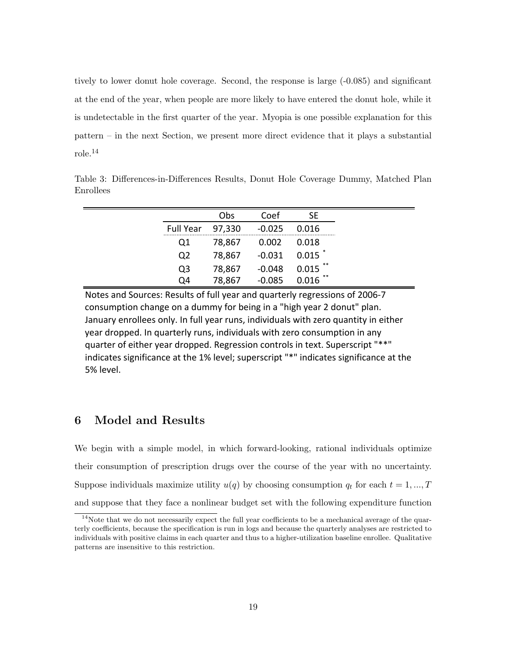tively to lower donut hole coverage. Second, the response is large (-0.085) and significant at the end of the year, when people are more likely to have entered the donut hole, while it is undetectable in the first quarter of the year. Myopia is one possible explanation for this pattern – in the next Section, we present more direct evidence that it plays a substantial role.<sup>14</sup>

|                  | Obs          | Coef                   | SF         |
|------------------|--------------|------------------------|------------|
| Full Year 97,330 |              | $-0.025$ $0.016$       |            |
| Q1               | 78,867 0.002 |                        | 0.018      |
| Q <sub>2</sub>   |              | 78,867 -0.031 0.015 *  |            |
| Q <sub>3</sub>   | 78,867       | $-0.048$               | $0.015$ ** |
| Q4               |              | 78,867 -0.085 0.016 ** |            |

Table 3: Differences-in-Differences Results, Donut Hole Coverage Dummy, Matched Plan Enrollees

Notes and Sources: Results of full year and quarterly regressions of 2006-7 consumption change on a dummy for being in a "high year 2 donut" plan. January enrollees only. In full year runs, individuals with zero quantity in either year dropped. In quarterly runs, individuals with zero consumption in any quarter of either year dropped. Regression controls in text. Superscript "\*\*" indicates significance at the 1% level; superscript "\*" indicates significance at the 5% level.

# 6 Model and Results

We begin with a simple model, in which forward-looking, rational individuals optimize their consumption of prescription drugs over the course of the year with no uncertainty. Suppose individuals maximize utility  $u(q)$  by choosing consumption  $q_t$  for each  $t = 1, ..., T$ and suppose that they face a nonlinear budget set with the following expenditure function

<sup>&</sup>lt;sup>14</sup>Note that we do not necessarily expect the full year coefficients to be a mechanical average of the quarterly coefficients, because the specification is run in logs and because the quarterly analyses are restricted to individuals with positive claims in each quarter and thus to a higher-utilization baseline enrollee. Qualitative patterns are insensitive to this restriction.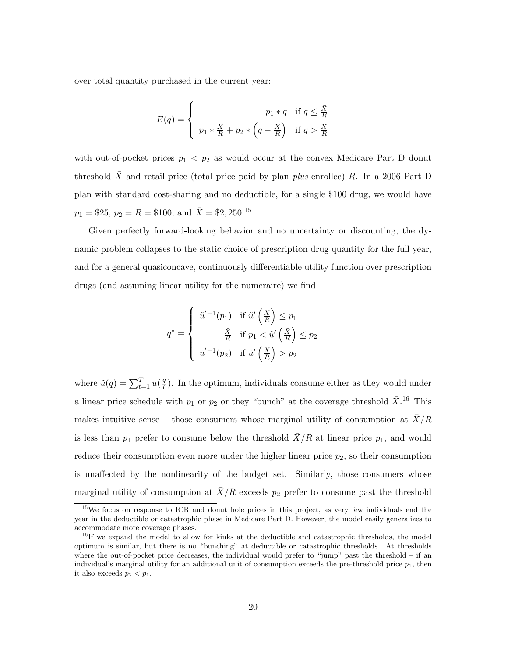over total quantity purchased in the current year:

$$
E(q) = \begin{cases} p_1 * q & \text{if } q \leq \frac{\bar{X}}{R} \\ p_1 * \frac{\bar{X}}{R} + p_2 * \left( q - \frac{\bar{X}}{R} \right) & \text{if } q > \frac{\bar{X}}{R} \end{cases}
$$

with out-of-pocket prices  $p_1 < p_2$  as would occur at the convex Medicare Part D donut threshold  $\bar{X}$  and retail price (total price paid by plan *plus* enrollee) R. In a 2006 Part D plan with standard cost-sharing and no deductible, for a single \$100 drug, we would have  $p_1 = $25, p_2 = R = $100, \text{ and } \overline{X} = $2, 250.$ <sup>15</sup>

Given perfectly forward-looking behavior and no uncertainty or discounting, the dynamic problem collapses to the static choice of prescription drug quantity for the full year, and for a general quasiconcave, continuously differentiable utility function over prescription drugs (and assuming linear utility for the numeraire) we find

$$
q^* = \begin{cases} \tilde{u}'^{-1}(p_1) & \text{if } \tilde{u}'\left(\frac{\bar{X}}{R}\right) \leq p_1 \\ \frac{\bar{X}}{R} & \text{if } p_1 < \tilde{u}'\left(\frac{\bar{X}}{R}\right) \leq p_2 \\ \tilde{u}'^{-1}(p_2) & \text{if } \tilde{u}'\left(\frac{\bar{X}}{R}\right) > p_2 \end{cases}
$$

where  $\tilde{u}(q) = \sum_{t=1}^{T} u(\frac{q}{T})$  $\frac{q}{T}$ ). In the optimum, individuals consume either as they would under a linear price schedule with  $p_1$  or  $p_2$  or they "bunch" at the coverage threshold  $\bar{X}$ <sup>16</sup> This makes intuitive sense – those consumers whose marginal utility of consumption at  $\bar{X}/R$ is less than  $p_1$  prefer to consume below the threshold  $\overline{X}/R$  at linear price  $p_1$ , and would reduce their consumption even more under the higher linear price  $p_2$ , so their consumption is unaffected by the nonlinearity of the budget set. Similarly, those consumers whose marginal utility of consumption at  $\bar{X}/R$  exceeds  $p_2$  prefer to consume past the threshold

<sup>&</sup>lt;sup>15</sup>We focus on response to ICR and donut hole prices in this project, as very few individuals end the year in the deductible or catastrophic phase in Medicare Part D. However, the model easily generalizes to accommodate more coverage phases.

<sup>&</sup>lt;sup>16</sup>If we expand the model to allow for kinks at the deductible and catastrophic thresholds, the model optimum is similar, but there is no "bunching" at deductible or catastrophic thresholds. At thresholds where the out-of-pocket price decreases, the individual would prefer to "jump" past the threshold – if an individual's marginal utility for an additional unit of consumption exceeds the pre-threshold price  $p_1$ , then it also exceeds  $p_2 < p_1$ .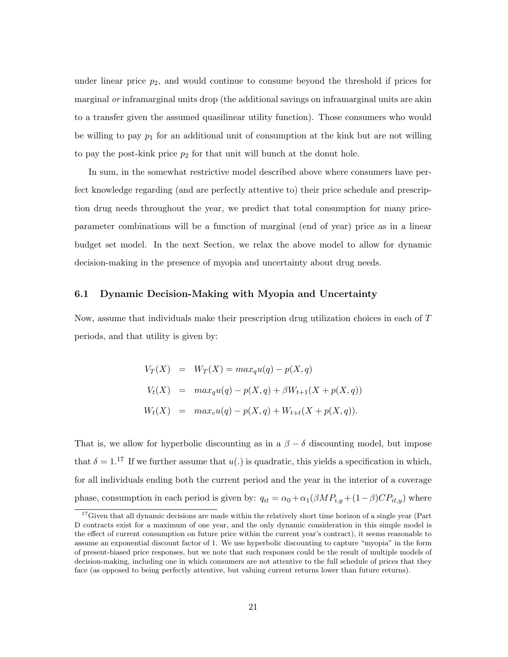under linear price  $p_2$ , and would continue to consume beyond the threshold if prices for marginal *or* inframarginal units drop (the additional savings on inframarginal units are akin to a transfer given the assumed quasilinear utility function). Those consumers who would be willing to pay  $p_1$  for an additional unit of consumption at the kink but are not willing to pay the post-kink price  $p_2$  for that unit will bunch at the donut hole.

In sum, in the somewhat restrictive model described above where consumers have perfect knowledge regarding (and are perfectly attentive to) their price schedule and prescription drug needs throughout the year, we predict that total consumption for many priceparameter combinations will be a function of marginal (end of year) price as in a linear budget set model. In the next Section, we relax the above model to allow for dynamic decision-making in the presence of myopia and uncertainty about drug needs.

#### 6.1 Dynamic Decision-Making with Myopia and Uncertainty

Now, assume that individuals make their prescription drug utilization choices in each of T periods, and that utility is given by:

$$
V_T(X) = W_T(X) = \max_q u(q) - p(X, q)
$$
  
\n
$$
V_t(X) = \max_q u(q) - p(X, q) + \beta W_{t+1}(X + p(X, q))
$$
  
\n
$$
W_t(X) = \max_c u(q) - p(X, q) + W_{t+t}(X + p(X, q)).
$$

That is, we allow for hyperbolic discounting as in a  $\beta - \delta$  discounting model, but impose that  $\delta = 1$ .<sup>17</sup> If we further assume that  $u(.)$  is quadratic, this yields a specification in which, for all individuals ending both the current period and the year in the interior of a coverage phase, consumption in each period is given by:  $q_{it} = \alpha_0 + \alpha_1(\beta M P_{i,y} + (1-\beta) C P_{it,y})$  where

<sup>&</sup>lt;sup>17</sup>Given that all dynamic decisions are made within the relatively short time horizon of a single year (Part D contracts exist for a maximum of one year, and the only dynamic consideration in this simple model is the effect of current consumption on future price within the current year's contract), it seems reasonable to assume an exponential discount factor of 1. We use hyperbolic discounting to capture "myopia" in the form of present-biased price responses, but we note that such responses could be the result of multiple models of decision-making, including one in which consumers are not attentive to the full schedule of prices that they face (as opposed to being perfectly attentive, but valuing current returns lower than future returns).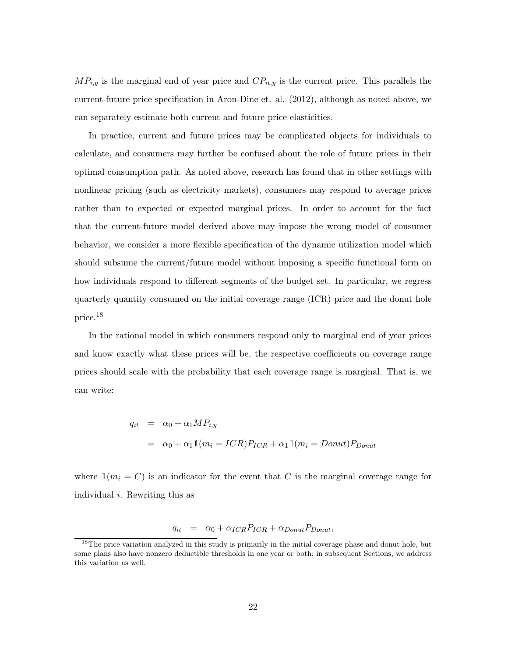$MP_{i,y}$  is the marginal end of year price and  $CP_{it,y}$  is the current price. This parallels the current-future price specification in Aron-Dine et. al. (2012), although as noted above, we can separately estimate both current and future price elasticities.

In practice, current and future prices may be complicated objects for individuals to calculate, and consumers may further be confused about the role of future prices in their optimal consumption path. As noted above, research has found that in other settings with nonlinear pricing (such as electricity markets), consumers may respond to average prices rather than to expected or expected marginal prices. In order to account for the fact that the current-future model derived above may impose the wrong model of consumer behavior, we consider a more flexible specification of the dynamic utilization model which should subsume the current/future model without imposing a specific functional form on how individuals respond to different segments of the budget set. In particular, we regress quarterly quantity consumed on the initial coverage range (ICR) price and the donut hole price.<sup>18</sup>

In the rational model in which consumers respond only to marginal end of year prices and know exactly what these prices will be, the respective coefficients on coverage range prices should scale with the probability that each coverage range is marginal. That is, we can write:

$$
q_{it} = \alpha_0 + \alpha_1 M P_{i,y}
$$
  
=  $\alpha_0 + \alpha_1 \mathbb{1}(m_i = ICR) P_{ICR} + \alpha_1 \mathbb{1}(m_i = Domut) P_{Donut}$ 

where  $\mathbb{1}(m_i = C)$  is an indicator for the event that C is the marginal coverage range for individual i. Rewriting this as

$$
q_{it} = \alpha_0 + \alpha_{ICR} P_{ICR} + \alpha_{Donut} P_{Donut},
$$

<sup>&</sup>lt;sup>18</sup>The price variation analyzed in this study is primarily in the initial coverage phase and donut hole, but some plans also have nonzero deductible thresholds in one year or both; in subsequent Sections, we address this variation as well.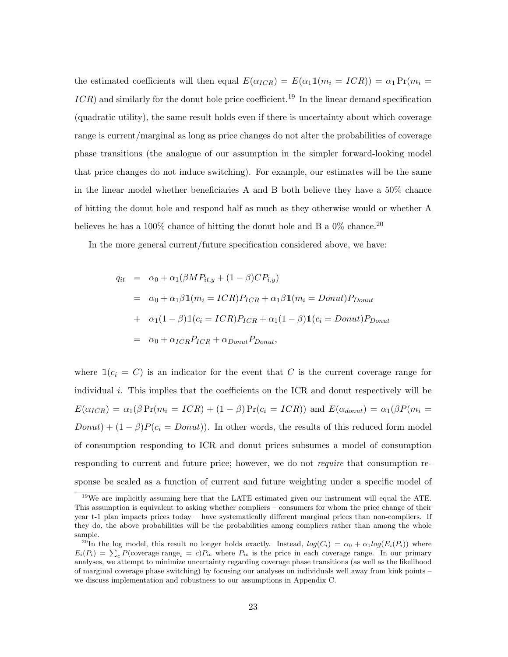the estimated coefficients will then equal  $E(\alpha_{ICR}) = E(\alpha_1 \mathbb{1}(m_i = ICR)) = \alpha_1 \Pr(m_i =$  $ICR$ ) and similarly for the donut hole price coefficient.<sup>19</sup> In the linear demand specification (quadratic utility), the same result holds even if there is uncertainty about which coverage range is current/marginal as long as price changes do not alter the probabilities of coverage phase transitions (the analogue of our assumption in the simpler forward-looking model that price changes do not induce switching). For example, our estimates will be the same in the linear model whether beneficiaries A and B both believe they have a 50% chance of hitting the donut hole and respond half as much as they otherwise would or whether A believes he has a 100% chance of hitting the donut hole and B a 0% chance.<sup>20</sup>

In the more general current/future specification considered above, we have:

$$
q_{it} = \alpha_0 + \alpha_1(\beta M P_{it,y} + (1 - \beta)CP_{i,y})
$$
  
=  $\alpha_0 + \alpha_1 \beta \mathbb{1}(m_i = ICR)P_{ICR} + \alpha_1 \beta \mathbb{1}(m_i = Donut)P_{Donut}$   
+  $\alpha_1(1 - \beta)\mathbb{1}(c_i = ICR)P_{ICR} + \alpha_1(1 - \beta)\mathbb{1}(c_i = Donut)P_{Donut}$   
=  $\alpha_0 + \alpha_{ICR}P_{ICR} + \alpha_{Donut}P_{Donut}$ ,

where  $\mathbb{1}(c_i = C)$  is an indicator for the event that C is the current coverage range for individual i. This implies that the coefficients on the ICR and donut respectively will be  $E(\alpha_{ICR}) = \alpha_1(\beta \Pr(m_i = ICR) + (1 - \beta) \Pr(c_i = ICR))$  and  $E(\alpha_{donut}) = \alpha_1(\beta \Pr(m_i = ICR))$  $Donut + (1 - \beta)P(c_i = Donut)$ . In other words, the results of this reduced form model of consumption responding to ICR and donut prices subsumes a model of consumption responding to current and future price; however, we do not *require* that consumption response be scaled as a function of current and future weighting under a specific model of

<sup>19</sup>We are implicitly assuming here that the LATE estimated given our instrument will equal the ATE. This assumption is equivalent to asking whether compliers – consumers for whom the price change of their year t-1 plan impacts prices today – have systematically different marginal prices than non-compliers. If they do, the above probabilities will be the probabilities among compliers rather than among the whole sample.

<sup>&</sup>lt;sup>20</sup>In the log model, this result no longer holds exactly. Instead,  $log(C_i) = \alpha_0 + \alpha_1 log(E_i(P_i))$  where  $E_i(P_i) = \sum_c P(\text{coverage range}_i = c)P_{ic}$  where  $P_{ic}$  is the price in each coverage range. In our primary analyses, we attempt to minimize uncertainty regarding coverage phase transitions (as well as the likelihood of marginal coverage phase switching) by focusing our analyses on individuals well away from kink points – we discuss implementation and robustness to our assumptions in Appendix C.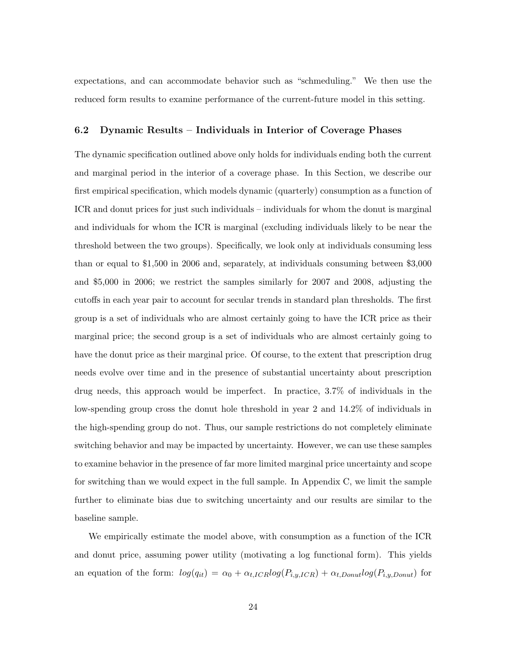expectations, and can accommodate behavior such as "schmeduling." We then use the reduced form results to examine performance of the current-future model in this setting.

#### 6.2 Dynamic Results – Individuals in Interior of Coverage Phases

The dynamic specification outlined above only holds for individuals ending both the current and marginal period in the interior of a coverage phase. In this Section, we describe our first empirical specification, which models dynamic (quarterly) consumption as a function of ICR and donut prices for just such individuals – individuals for whom the donut is marginal and individuals for whom the ICR is marginal (excluding individuals likely to be near the threshold between the two groups). Specifically, we look only at individuals consuming less than or equal to \$1,500 in 2006 and, separately, at individuals consuming between \$3,000 and \$5,000 in 2006; we restrict the samples similarly for 2007 and 2008, adjusting the cutoffs in each year pair to account for secular trends in standard plan thresholds. The first group is a set of individuals who are almost certainly going to have the ICR price as their marginal price; the second group is a set of individuals who are almost certainly going to have the donut price as their marginal price. Of course, to the extent that prescription drug needs evolve over time and in the presence of substantial uncertainty about prescription drug needs, this approach would be imperfect. In practice, 3.7% of individuals in the low-spending group cross the donut hole threshold in year 2 and 14.2% of individuals in the high-spending group do not. Thus, our sample restrictions do not completely eliminate switching behavior and may be impacted by uncertainty. However, we can use these samples to examine behavior in the presence of far more limited marginal price uncertainty and scope for switching than we would expect in the full sample. In Appendix C, we limit the sample further to eliminate bias due to switching uncertainty and our results are similar to the baseline sample.

We empirically estimate the model above, with consumption as a function of the ICR and donut price, assuming power utility (motivating a log functional form). This yields an equation of the form:  $log(q_{it}) = \alpha_0 + \alpha_{t,ICR} log(P_{i,y,ICR}) + \alpha_{t,Donut} log(P_{i,y,Donut})$  for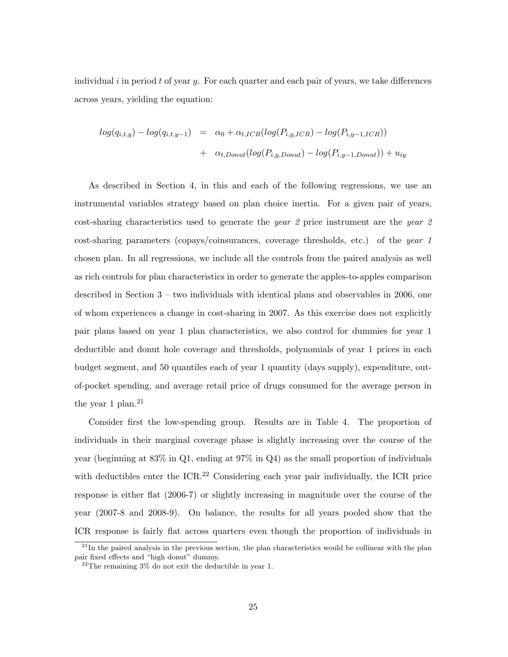individual i in period t of year y. For each quarter and each pair of years, we take differences across years, yielding the equation:

$$
log(q_{i,t,y}) - log(q_{i,t,y-1}) = \alpha_0 + \alpha_{t,ICR}(log(P_{i,y,ICR}) - log(P_{i,y-1,ICR}))
$$
  
+ 
$$
\alpha_{t,Donut}(log(P_{i,y,Donut}) - log(P_{i,y-1,Donut})) + u_{iy}
$$

As described in Section 4, in this and each of the following regressions, we use an instrumental variables strategy based on plan choice inertia. For a given pair of years, cost-sharing characteristics used to generate the year 2 price instrument are the year 2 cost-sharing parameters (copays/coinsurances, coverage thresholds, etc.) of the year 1 chosen plan. In all regressions, we include all the controls from the paired analysis as well as rich controls for plan characteristics in order to generate the apples-to-apples comparison described in Section 3 – two individuals with identical plans and observables in 2006, one of whom experiences a change in cost-sharing in 2007. As this exercise does not explicitly pair plans based on year 1 plan characteristics, we also control for dummies for year 1 deductible and donut hole coverage and thresholds, polynomials of year 1 prices in each budget segment, and 50 quantiles each of year 1 quantity (days supply), expenditure, outof-pocket spending, and average retail price of drugs consumed for the average person in the year 1 plan.<sup>21</sup>

Consider first the low-spending group. Results are in Table 4. The proportion of individuals in their marginal coverage phase is slightly increasing over the course of the year (beginning at 83% in Q1, ending at 97% in Q4) as the small proportion of individuals with deductibles enter the ICR.<sup>22</sup> Considering each year pair individually, the ICR price response is either flat (2006-7) or slightly increasing in magnitude over the course of the year (2007-8 and 2008-9). On balance, the results for all years pooled show that the ICR response is fairly flat across quarters even though the proportion of individuals in

 $21$ In the paired analysis in the previous section, the plan characteristics would be collinear with the plan pair fixed effects and "high donut" dummy.

 $22$ The remaining  $3\%$  do not exit the deductible in year 1.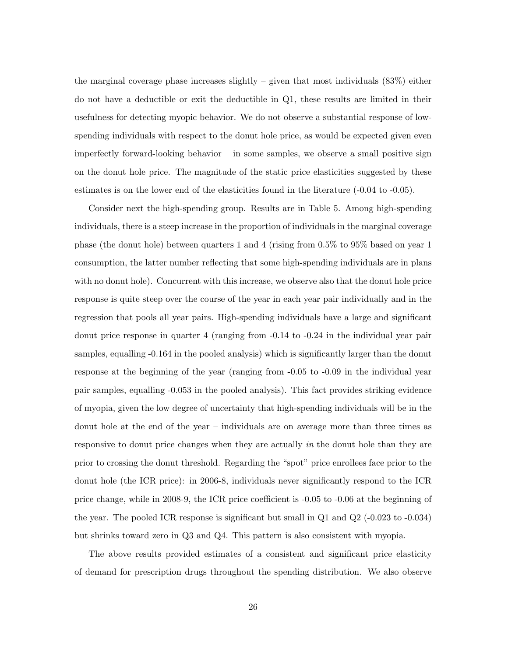the marginal coverage phase increases slightly – given that most individuals (83%) either do not have a deductible or exit the deductible in Q1, these results are limited in their usefulness for detecting myopic behavior. We do not observe a substantial response of lowspending individuals with respect to the donut hole price, as would be expected given even imperfectly forward-looking behavior – in some samples, we observe a small positive sign on the donut hole price. The magnitude of the static price elasticities suggested by these estimates is on the lower end of the elasticities found in the literature (-0.04 to -0.05).

Consider next the high-spending group. Results are in Table 5. Among high-spending individuals, there is a steep increase in the proportion of individuals in the marginal coverage phase (the donut hole) between quarters 1 and 4 (rising from 0.5% to 95% based on year 1 consumption, the latter number reflecting that some high-spending individuals are in plans with no donut hole). Concurrent with this increase, we observe also that the donut hole price response is quite steep over the course of the year in each year pair individually and in the regression that pools all year pairs. High-spending individuals have a large and significant donut price response in quarter 4 (ranging from -0.14 to -0.24 in the individual year pair samples, equalling -0.164 in the pooled analysis) which is significantly larger than the donut response at the beginning of the year (ranging from -0.05 to -0.09 in the individual year pair samples, equalling -0.053 in the pooled analysis). This fact provides striking evidence of myopia, given the low degree of uncertainty that high-spending individuals will be in the donut hole at the end of the year – individuals are on average more than three times as responsive to donut price changes when they are actually in the donut hole than they are prior to crossing the donut threshold. Regarding the "spot" price enrollees face prior to the donut hole (the ICR price): in 2006-8, individuals never significantly respond to the ICR price change, while in 2008-9, the ICR price coefficient is -0.05 to -0.06 at the beginning of the year. The pooled ICR response is significant but small in Q1 and Q2 (-0.023 to -0.034) but shrinks toward zero in Q3 and Q4. This pattern is also consistent with myopia.

The above results provided estimates of a consistent and significant price elasticity of demand for prescription drugs throughout the spending distribution. We also observe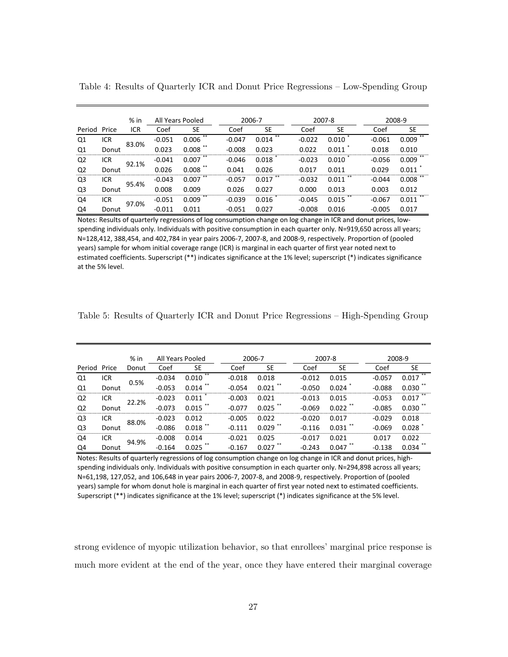|                |       | % in       | All Years Pooled |             |          | 2006-7 |          | 2007-8 |          | 2008-9      |
|----------------|-------|------------|------------------|-------------|----------|--------|----------|--------|----------|-------------|
| Period         | Price | <b>ICR</b> | Coef             | <b>SE</b>   | Coef     | SE     | Coef     | SE     | Coef     | <b>SE</b>   |
| Q1             | ICR   | 83.0%      | $-0.051$         | 0.006       | $-0.047$ | 0.014  | $-0.022$ | 0.010  | $-0.061$ | **<br>0.009 |
| Q1             | Donut |            | 0.023            | 0.008       | $-0.008$ | 0.023  | 0.022    | 0.011  | 0.018    | 0.010       |
| Q2             | ICR   | 92.1%      | $-0.041$         | **<br>0.007 | $-0.046$ | 0.018  | $-0.023$ | 0.010  | $-0.056$ | 0.009       |
| Q <sub>2</sub> | Donut |            | 0.026            | 0.008       | 0.041    | 0.026  | 0.017    | 0.011  | 0.029    | 0.011       |
| Q3             | ICR   | 95.4%      | $-0.043$         | 0.007       | $-0.057$ | 0.017  | $-0.032$ | 0.011  | $-0.044$ | 0.008       |
| Q3             | Donut |            | 0.008            | 0.009       | 0.026    | 0.027  | 0.000    | 0.013  | 0.003    | 0.012       |
| Q4             | ICR   | 97.0%      | $-0.051$         | **<br>0.009 | $-0.039$ | 0.016  | $-0.045$ | 0.015  | $-0.067$ | 0.011       |
| Q4             | Donut |            | $-0.011$         | 0.011       | $-0.051$ | 0.027  | $-0.008$ | 0.016  | $-0.005$ | 0.017       |

Table 4: Results of Quarterly ICR and Donut Price Regressions – Low-Spending Group

Notes: Results of quarterly regressions of log consumption change on log change in ICR and donut prices, lowspending individuals only. Individuals with positive consumption in each quarter only. N=919,650 across all years; N=128,412, 388,454, and 402,784 in year pairs 2006-7, 2007-8, and 2008-9, respectively. Proportion of (pooled years) sample for whom initial coverage range (ICR) is marginal in each quarter of first year noted next to estimated coefficients. Superscript (\*\*) indicates significance at the 1% level; superscript (\*) indicates significance at the 5% level.

| Table 5: Results of Quarterly ICR and Donut Price Regressions – High-Spending Group |  |  |  |  |  |
|-------------------------------------------------------------------------------------|--|--|--|--|--|
|-------------------------------------------------------------------------------------|--|--|--|--|--|

|                |       | $%$ in | All Years Pooled |                | 2006-7   |       | 2007-8   |           |          | 2008-9      |
|----------------|-------|--------|------------------|----------------|----------|-------|----------|-----------|----------|-------------|
| Period         | Price | Donut  | Coef             | SE             | Coef     | SE    | Coef     | <b>SE</b> | Coef     | <b>SE</b>   |
| Q1             | ICR   |        | $-0.034$         | $***$<br>0.010 | $-0.018$ | 0.018 | $-0.012$ | 0.015     | $-0.057$ | **<br>0.017 |
| Q1             | Donut | 0.5%   | $-0.053$         | 0.014          | $-0.054$ | 0.021 | -0.050   | 0.024     | $-0.088$ | 0.030       |
| Q2             | ICR   | 22.2%  | $-0.023$         | 0.011          | -0.003   | 0.021 | $-0.013$ | 0.015     | $-0.053$ | 0.017       |
| Q <sub>2</sub> | Donut |        | $-0.073$         | 0.015          | -0.077   | 0.025 | $-0.069$ | 0.022     | $-0.085$ | **<br>0.030 |
| Q3             | ICR   | 88.0%  | $-0.023$         | 0.012          | -0.005   | 0.022 | -0.020   | 0.017     | $-0.029$ | 0.018       |
| Q3             | Donut |        | $-0.086$         | 0.018          |          | 0.029 | $-0.116$ | 0.031     | $-0.069$ | 0.028       |
| Q4             | ICR   | 94.9%  | $-0.008$         | 0.014          | -0.021   | 0.025 | $-0.017$ | 0.021     | 0.017    | 0.022       |
| Q4             | Donut |        | $-0.164$         | 0.025          | $-0.167$ | 0.027 | $-0.243$ | 0.047     | $-0.138$ | 0.034       |

Notes: Results of quarterly regressions of log consumption change on log change in ICR and donut prices, highspending individuals only. Individuals with positive consumption in each quarter only. N=294,898 across all years; N=61,198, 127,052, and 106,648 in year pairs 2006-7, 2007-8, and 2008-9, respectively. Proportion of (pooled years) sample for whom donut hole is marginal in each quarter of first year noted next to estimated coefficients. Superscript (\*\*) indicates significance at the 1% level; superscript (\*) indicates significance at the 5% level.

strong evidence of myopic utilization behavior, so that enrollees' marginal price response is much more evident at the end of the year, once they have entered their marginal coverage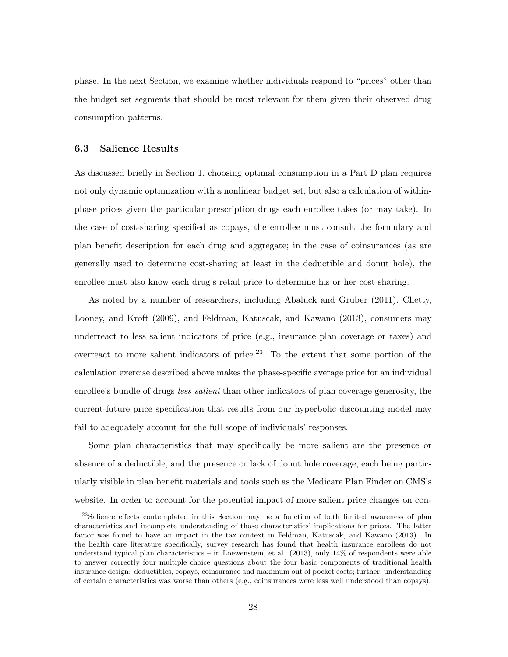phase. In the next Section, we examine whether individuals respond to "prices" other than the budget set segments that should be most relevant for them given their observed drug consumption patterns.

#### 6.3 Salience Results

As discussed briefly in Section 1, choosing optimal consumption in a Part D plan requires not only dynamic optimization with a nonlinear budget set, but also a calculation of withinphase prices given the particular prescription drugs each enrollee takes (or may take). In the case of cost-sharing specified as copays, the enrollee must consult the formulary and plan benefit description for each drug and aggregate; in the case of coinsurances (as are generally used to determine cost-sharing at least in the deductible and donut hole), the enrollee must also know each drug's retail price to determine his or her cost-sharing.

As noted by a number of researchers, including Abaluck and Gruber (2011), Chetty, Looney, and Kroft (2009), and Feldman, Katuscak, and Kawano (2013), consumers may underreact to less salient indicators of price (e.g., insurance plan coverage or taxes) and overreact to more salient indicators of price.<sup>23</sup> To the extent that some portion of the calculation exercise described above makes the phase-specific average price for an individual enrollee's bundle of drugs *less salient* than other indicators of plan coverage generosity, the current-future price specification that results from our hyperbolic discounting model may fail to adequately account for the full scope of individuals' responses.

Some plan characteristics that may specifically be more salient are the presence or absence of a deductible, and the presence or lack of donut hole coverage, each being particularly visible in plan benefit materials and tools such as the Medicare Plan Finder on CMS's website. In order to account for the potential impact of more salient price changes on con-

<sup>&</sup>lt;sup>23</sup>Salience effects contemplated in this Section may be a function of both limited awareness of plan characteristics and incomplete understanding of those characteristics' implications for prices. The latter factor was found to have an impact in the tax context in Feldman, Katuscak, and Kawano (2013). In the health care literature specifically, survey research has found that health insurance enrollees do not understand typical plan characteristics – in Loewenstein, et al. (2013), only 14% of respondents were able to answer correctly four multiple choice questions about the four basic components of traditional health insurance design: deductibles, copays, coinsurance and maximum out of pocket costs; further, understanding of certain characteristics was worse than others (e.g., coinsurances were less well understood than copays).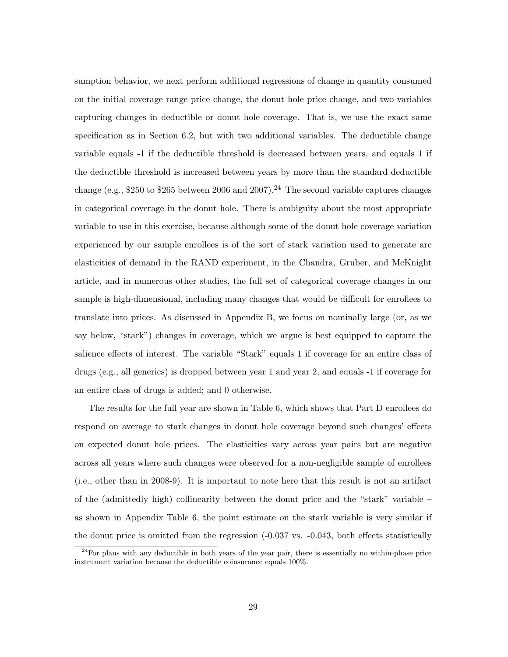sumption behavior, we next perform additional regressions of change in quantity consumed on the initial coverage range price change, the donut hole price change, and two variables capturing changes in deductible or donut hole coverage. That is, we use the exact same specification as in Section 6.2, but with two additional variables. The deductible change variable equals -1 if the deductible threshold is decreased between years, and equals 1 if the deductible threshold is increased between years by more than the standard deductible change (e.g., \$250 to \$265 between 2006 and 2007).<sup>24</sup> The second variable captures changes in categorical coverage in the donut hole. There is ambiguity about the most appropriate variable to use in this exercise, because although some of the donut hole coverage variation experienced by our sample enrollees is of the sort of stark variation used to generate arc elasticities of demand in the RAND experiment, in the Chandra, Gruber, and McKnight article, and in numerous other studies, the full set of categorical coverage changes in our sample is high-dimensional, including many changes that would be difficult for enrollees to translate into prices. As discussed in Appendix B, we focus on nominally large (or, as we say below, "stark") changes in coverage, which we argue is best equipped to capture the salience effects of interest. The variable "Stark" equals 1 if coverage for an entire class of drugs (e.g., all generics) is dropped between year 1 and year 2, and equals -1 if coverage for an entire class of drugs is added; and 0 otherwise.

The results for the full year are shown in Table 6, which shows that Part D enrollees do respond on average to stark changes in donut hole coverage beyond such changes' effects on expected donut hole prices. The elasticities vary across year pairs but are negative across all years where such changes were observed for a non-negligible sample of enrollees (i.e., other than in 2008-9). It is important to note here that this result is not an artifact of the (admittedly high) collinearity between the donut price and the "stark" variable – as shown in Appendix Table 6, the point estimate on the stark variable is very similar if the donut price is omitted from the regression (-0.037 vs. -0.043, both effects statistically

 $24$ For plans with any deductible in both years of the year pair, there is essentially no within-phase price instrument variation because the deductible coinsurance equals 100%.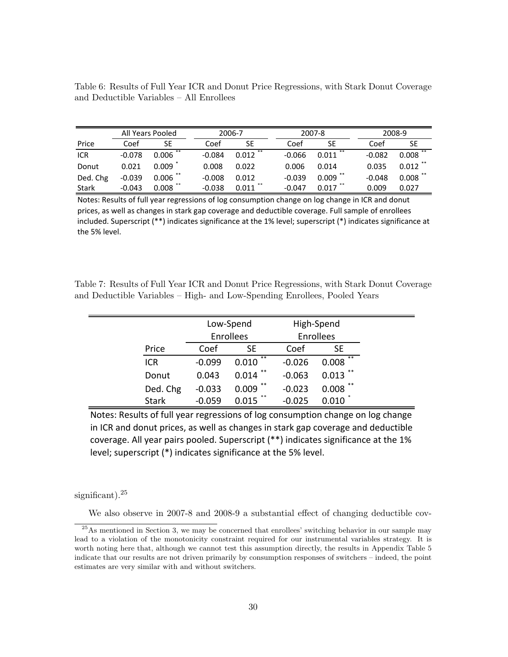Table 6: Results of Full Year ICR and Donut Price Regressions, with Stark Donut Coverage and Deductible Variables – All Enrollees

|              | All Years Pooled |            |          | 2006-7     |  |          | 2007-8     |          | 2008-9     |  |  |
|--------------|------------------|------------|----------|------------|--|----------|------------|----------|------------|--|--|
| Price        | Coef             | <b>SE</b>  | Coef     | SE         |  | Coef     | SE         | Coef     | SE         |  |  |
| <b>ICR</b>   | $-0.078$         | $0.006$ ** | $-0.084$ | $0.012$ ** |  | $-0.066$ | 0.011      | $-0.082$ | $0.008$ ** |  |  |
| Donut        | 0.021            | 0.009      | 0.008    | 0.022      |  | 0.006    | 0.014      | 0.035    | 0.012      |  |  |
| Ded. Chg     | $-0.039$         | $0.006$ ** | $-0.008$ | 0.012      |  | $-0.039$ | $0.009$ ** | $-0.048$ | 0.008      |  |  |
| <b>Stark</b> | $-0.043$         | 0.008      | $-0.038$ | 0.011      |  | $-0.047$ | 0.017      | 0.009    | 0.027      |  |  |

Notes: Results of full year regressions of log consumption change on log change in ICR and donut prices, as well as changes in stark gap coverage and deductible coverage. Full sample of enrollees included. Superscript (\*\*) indicates significance at the 1% level; superscript (\*) indicates significance at the 5% level.

Table 7: Results of Full Year ICR and Donut Price Regressions, with Stark Donut Coverage and Deductible Variables – High- and Low-Spending Enrollees, Pooled Years

|              |          | Low-Spend        |          | High-Spend       |  |  |
|--------------|----------|------------------|----------|------------------|--|--|
|              |          | <b>Enrollees</b> |          | <b>Enrollees</b> |  |  |
| Price        | Coef     | SE               | Coef     | SE               |  |  |
| <b>ICR</b>   | $-0.099$ | $**$<br>0.010    | $-0.026$ | $***$<br>0.008   |  |  |
| Donut        | 0.043    | **<br>0.014      | $-0.063$ | **<br>0.013      |  |  |
| Ded. Chg     | $-0.033$ | $***$<br>0.009   | $-0.023$ | $* *$<br>0.008   |  |  |
| <b>Stark</b> | $-0.059$ | **<br>በ በ15      | -0.025   |                  |  |  |

Notes: Results of full year regressions of log consumption change on log change in ICR and donut prices, as well as changes in stark gap coverage and deductible coverage. All year pairs pooled. Superscript (\*\*) indicates significance at the 1% level; superscript (\*) indicates significance at the 5% level.

significant).<sup>25</sup>

We also observe in 2007-8 and 2008-9 a substantial effect of changing deductible cov-

 $^{25}$ As mentioned in Section 3, we may be concerned that enrollees' switching behavior in our sample may lead to a violation of the monotonicity constraint required for our instrumental variables strategy. It is worth noting here that, although we cannot test this assumption directly, the results in Appendix Table 5 indicate that our results are not driven primarily by consumption responses of switchers – indeed, the point estimates are very similar with and without switchers.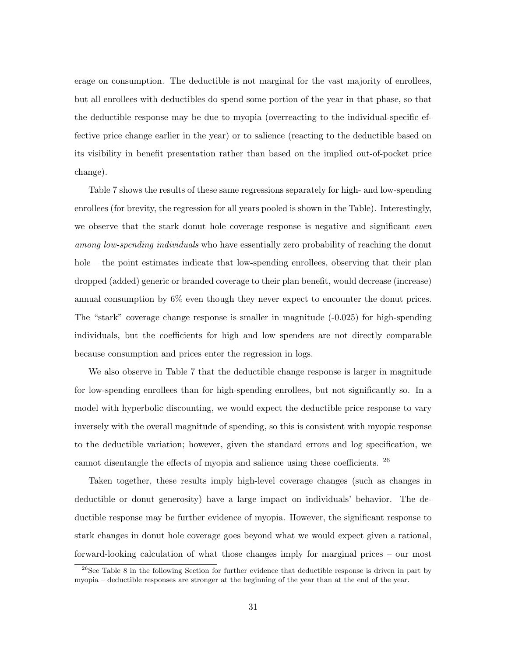erage on consumption. The deductible is not marginal for the vast majority of enrollees, but all enrollees with deductibles do spend some portion of the year in that phase, so that the deductible response may be due to myopia (overreacting to the individual-specific effective price change earlier in the year) or to salience (reacting to the deductible based on its visibility in benefit presentation rather than based on the implied out-of-pocket price change).

Table 7 shows the results of these same regressions separately for high- and low-spending enrollees (for brevity, the regression for all years pooled is shown in the Table). Interestingly, we observe that the stark donut hole coverage response is negative and significant *even* among low-spending individuals who have essentially zero probability of reaching the donut hole – the point estimates indicate that low-spending enrollees, observing that their plan dropped (added) generic or branded coverage to their plan benefit, would decrease (increase) annual consumption by 6% even though they never expect to encounter the donut prices. The "stark" coverage change response is smaller in magnitude (-0.025) for high-spending individuals, but the coefficients for high and low spenders are not directly comparable because consumption and prices enter the regression in logs.

We also observe in Table 7 that the deductible change response is larger in magnitude for low-spending enrollees than for high-spending enrollees, but not significantly so. In a model with hyperbolic discounting, we would expect the deductible price response to vary inversely with the overall magnitude of spending, so this is consistent with myopic response to the deductible variation; however, given the standard errors and log specification, we cannot disentangle the effects of myopia and salience using these coefficients. <sup>26</sup>

Taken together, these results imply high-level coverage changes (such as changes in deductible or donut generosity) have a large impact on individuals' behavior. The deductible response may be further evidence of myopia. However, the significant response to stark changes in donut hole coverage goes beyond what we would expect given a rational, forward-looking calculation of what those changes imply for marginal prices – our most

 $26$ See Table 8 in the following Section for further evidence that deductible response is driven in part by myopia – deductible responses are stronger at the beginning of the year than at the end of the year.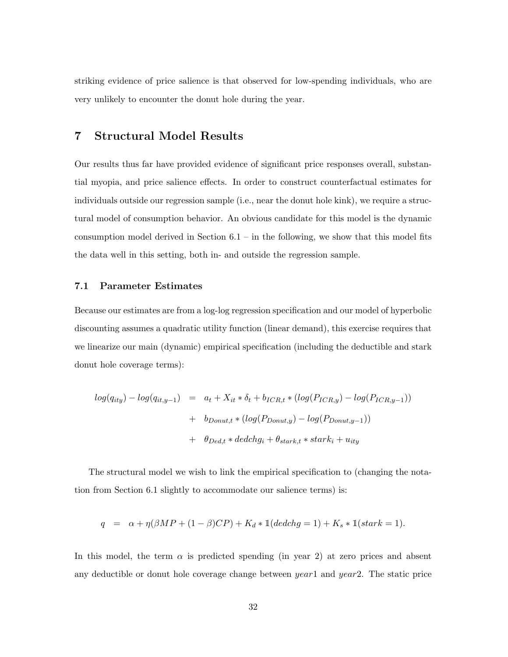striking evidence of price salience is that observed for low-spending individuals, who are very unlikely to encounter the donut hole during the year.

## 7 Structural Model Results

Our results thus far have provided evidence of significant price responses overall, substantial myopia, and price salience effects. In order to construct counterfactual estimates for individuals outside our regression sample (i.e., near the donut hole kink), we require a structural model of consumption behavior. An obvious candidate for this model is the dynamic consumption model derived in Section  $6.1 -$  in the following, we show that this model fits the data well in this setting, both in- and outside the regression sample.

#### 7.1 Parameter Estimates

Because our estimates are from a log-log regression specification and our model of hyperbolic discounting assumes a quadratic utility function (linear demand), this exercise requires that we linearize our main (dynamic) empirical specification (including the deductible and stark donut hole coverage terms):

$$
log(q_{ity}) - log(q_{it,y-1}) = a_t + X_{it} * \delta_t + b_{ICR,t} * (log(P_{ICR,y}) - log(P_{ICR,y-1}))
$$
  
+ 
$$
b_{Donut, t} * (log(P_{Donut, y}) - log(P_{Donut, y-1}))
$$
  
+ 
$$
\theta_{Ded, t} * dedchg_i + \theta_{stark, t} * stark_i + u_{ity}
$$

The structural model we wish to link the empirical specification to (changing the notation from Section 6.1 slightly to accommodate our salience terms) is:

$$
q = \alpha + \eta(\beta MP + (1 - \beta)CP) + K_d * \mathbb{1}(dedchg = 1) + K_s * \mathbb{1}(start = 1).
$$

In this model, the term  $\alpha$  is predicted spending (in year 2) at zero prices and absent any deductible or donut hole coverage change between  $year1$  and  $year2$ . The static price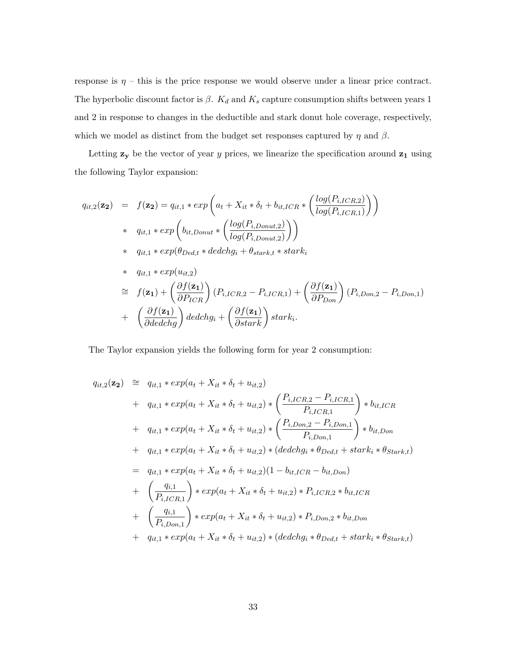response is  $\eta$  – this is the price response we would observe under a linear price contract. The hyperbolic discount factor is  $\beta$ .  $K_d$  and  $K_s$  capture consumption shifts between years 1 and 2 in response to changes in the deductible and stark donut hole coverage, respectively, which we model as distinct from the budget set responses captured by  $\eta$  and  $\beta$ .

Letting  $z_y$  be the vector of year y prices, we linearize the specification around  $z_1$  using the following Taylor expansion:

$$
q_{it,2}(\mathbf{z_2}) = f(\mathbf{z_2}) = q_{it,1} * exp \left( a_t + X_{it} * \delta_t + b_{it,ICR} * \left( \frac{log(P_{i,ICR,2})}{log(P_{i,ICR,1})} \right) \right)
$$
  
\n
$$
* q_{it,1} * exp \left( b_{it,Donut} * \left( \frac{log(P_{i,Donut,2})}{log(P_{i,Donut,2})} \right) \right)
$$
  
\n
$$
* q_{it,1} * exp(\theta_{Ded,t} * dedchg_i + \theta_{stark,t} * stark_i
$$
  
\n
$$
* q_{it,1} * exp(u_{it,2})
$$
  
\n
$$
\cong f(\mathbf{z_1}) + \left( \frac{\partial f(\mathbf{z_1})}{\partial P_{ICR}} \right) (P_{i,ICR,2} - P_{i,ICR,1}) + \left( \frac{\partial f(\mathbf{z_1})}{\partial P_{Don}} \right) (P_{i,Don,2} - P_{i,Don,1})
$$
  
\n
$$
+ \left( \frac{\partial f(\mathbf{z_1})}{\partial dedchg} \right) dedchg_i + \left( \frac{\partial f(\mathbf{z_1})}{\partial stark} \right) stark_i.
$$

The Taylor expansion yields the following form for year 2 consumption:

$$
q_{it,2}(\mathbf{z_2}) \cong q_{it,1} * exp(a_t + X_{it} * \delta_t + u_{it,2})
$$
  
+ 
$$
q_{it,1} * exp(a_t + X_{it} * \delta_t + u_{it,2}) * \left(\frac{P_{i,ICR,2} - P_{i,ICR,1}}{P_{i,ICR,1}}\right) * b_{it,ICR}
$$
  
+ 
$$
q_{it,1} * exp(a_t + X_{it} * \delta_t + u_{it,2}) * \left(\frac{P_{i,Don,2} - P_{i,Don,1}}{P_{i,Don,1}}\right) * b_{it,Don}
$$
  
+ 
$$
q_{it,1} * exp(a_t + X_{it} * \delta_t + u_{it,2}) * (dedchg_i * \theta_{Ded,t} + stark_i * \theta_{Stark,t})
$$
  
= 
$$
q_{it,1} * exp(a_t + X_{it} * \delta_t + u_{it,2}) (1 - b_{it,ICR} - b_{it,Don})
$$
  
+ 
$$
\left(\frac{q_{i,1}}{P_{i,ICR,1}}\right) * exp(a_t + X_{it} * \delta_t + u_{it,2}) * P_{i,ICR,2} * b_{it,ICR}
$$
  
+ 
$$
\left(\frac{q_{i,1}}{P_{i,Don,1}}\right) * exp(a_t + X_{it} * \delta_t + u_{it,2}) * P_{i,Don,2} * b_{it,Don}
$$
  
+ 
$$
q_{it,1} * exp(a_t + X_{it} * \delta_t + u_{it,2}) * (dedchg_i * \theta_{Ded,t} + stark_i * \theta_{Stark,t})
$$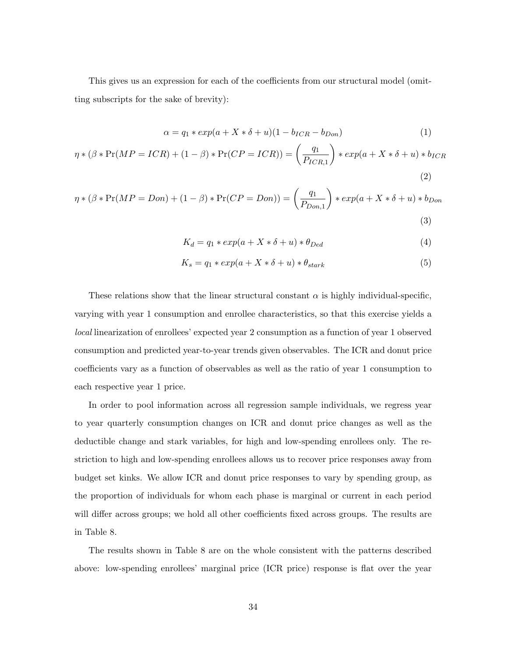This gives us an expression for each of the coefficients from our structural model (omitting subscripts for the sake of brevity):

$$
\alpha = q_1 \ast exp(a + X \ast \delta + u)(1 - b_{ICR} - b_{Don})
$$
\n(1)

$$
\eta * (\beta * \Pr(MP = ICR) + (1 - \beta) * \Pr(CP = ICR)) = \left(\frac{q_1}{P_{ICR,1}}\right) * exp(a + X * \delta + u) * b_{ICR}
$$
\n(2)

$$
\eta * (\beta * \Pr(MP = Don) + (1 - \beta) * \Pr(CP = Don)) = \left(\frac{q_1}{P_{Don,1}}\right) * exp(a + X * \delta + u) * b_{Don}
$$
\n(3)

$$
K_d = q_1 * exp(a + X * \delta + u) * \theta_{Ded}
$$
\n<sup>(4)</sup>

$$
K_s = q_1 * exp(a + X * \delta + u) * \theta_{stark}
$$
\n<sup>(5)</sup>

These relations show that the linear structural constant  $\alpha$  is highly individual-specific, varying with year 1 consumption and enrollee characteristics, so that this exercise yields a local linearization of enrollees' expected year 2 consumption as a function of year 1 observed consumption and predicted year-to-year trends given observables. The ICR and donut price coefficients vary as a function of observables as well as the ratio of year 1 consumption to each respective year 1 price.

In order to pool information across all regression sample individuals, we regress year to year quarterly consumption changes on ICR and donut price changes as well as the deductible change and stark variables, for high and low-spending enrollees only. The restriction to high and low-spending enrollees allows us to recover price responses away from budget set kinks. We allow ICR and donut price responses to vary by spending group, as the proportion of individuals for whom each phase is marginal or current in each period will differ across groups; we hold all other coefficients fixed across groups. The results are in Table 8.

The results shown in Table 8 are on the whole consistent with the patterns described above: low-spending enrollees' marginal price (ICR price) response is flat over the year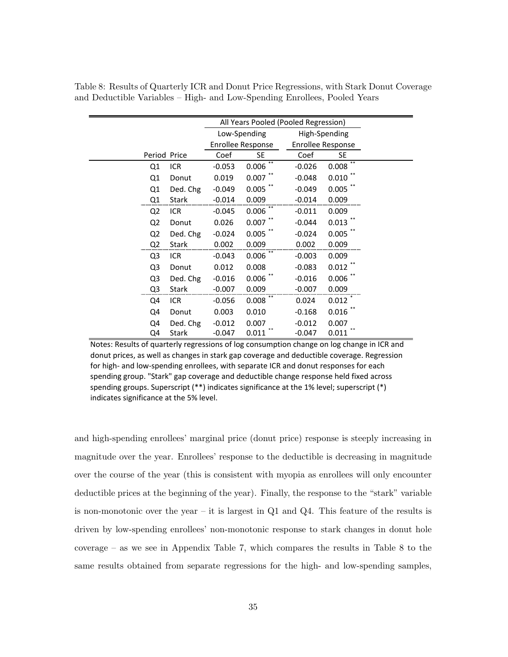|                |              |          |                                     | All Years Pooled (Pooled Regression) |                   |  |  |
|----------------|--------------|----------|-------------------------------------|--------------------------------------|-------------------|--|--|
|                |              |          | Low-Spending                        |                                      | High-Spending     |  |  |
|                |              |          | Enrollee Response                   |                                      | Enrollee Response |  |  |
| Period Price   |              | Coef     | SE                                  | Coef                                 | SE                |  |  |
| Q1             | ICR          | $-0.053$ | $***$<br>0.006                      | $-0.026$                             | $***$<br>0.008    |  |  |
| Q1             | Donut        | 0.019    | $0.007$ **                          | $-0.048$                             | 0.010             |  |  |
| Q1             | Ded. Chg     | $-0.049$ | 0.005                               | $-0.049$                             | 0.005             |  |  |
| Q1             | <b>Stark</b> | $-0.014$ | 0.009                               | $-0.014$                             | 0.009             |  |  |
| Q <sub>2</sub> | <b>ICR</b>   | $-0.045$ | $0.006$ **                          | $-0.011$                             | 0.009             |  |  |
| Q <sub>2</sub> | Donut        | 0.026    | $0.007$ $\hspace{0.1cm}^{\ast\ast}$ | $-0.044$                             | 0.013             |  |  |
| Q <sub>2</sub> | Ded. Chg     | $-0.024$ | $0.005$ **                          | $-0.024$                             | 0.005             |  |  |
| Q <sub>2</sub> | <b>Stark</b> | 0.002    | 0.009                               | 0.002                                | 0.009             |  |  |
| Q <sub>3</sub> | <b>ICR</b>   | $-0.043$ | 0.006                               | $-0.003$                             | 0.009             |  |  |
| Q <sub>3</sub> | Donut        | 0.012    | 0.008                               | $-0.083$                             | 0.012             |  |  |
| Q <sub>3</sub> | Ded. Chg     | $-0.016$ | 0.006                               | $-0.016$                             | 0.006             |  |  |
| Q3             | Stark        | $-0.007$ | 0.009                               | $-0.007$                             | 0.009             |  |  |
| Q4             | <b>ICR</b>   | $-0.056$ | 0.008                               | 0.024                                | 0.012             |  |  |
| Q4             | Donut        | 0.003    | 0.010                               | $-0.168$                             | 0.016             |  |  |
| Q4             | Ded. Chg     | $-0.012$ | 0.007                               | $-0.012$                             | 0.007             |  |  |
| Q4             | <b>Stark</b> | $-0.047$ | 0.011                               | $-0.047$                             | 0.011             |  |  |

Table 8: Results of Quarterly ICR and Donut Price Regressions, with Stark Donut Coverage and Deductible Variables – High- and Low-Spending Enrollees, Pooled Years

Notes: Results of quarterly regressions of log consumption change on log change in ICR and donut prices, as well as changes in stark gap coverage and deductible coverage. Regression for high- and low-spending enrollees, with separate ICR and donut responses for each spending group. "Stark" gap coverage and deductible change response held fixed across spending groups. Superscript (\*\*) indicates significance at the 1% level; superscript (\*) indicates significance at the 5% level.

and high-spending enrollees' marginal price (donut price) response is steeply increasing in magnitude over the year. Enrollees' response to the deductible is decreasing in magnitude over the course of the year (this is consistent with myopia as enrollees will only encounter deductible prices at the beginning of the year). Finally, the response to the "stark" variable is non-monotonic over the year – it is largest in  $Q_1$  and  $Q_4$ . This feature of the results is driven by low-spending enrollees' non-monotonic response to stark changes in donut hole coverage – as we see in Appendix Table 7, which compares the results in Table 8 to the same results obtained from separate regressions for the high- and low-spending samples,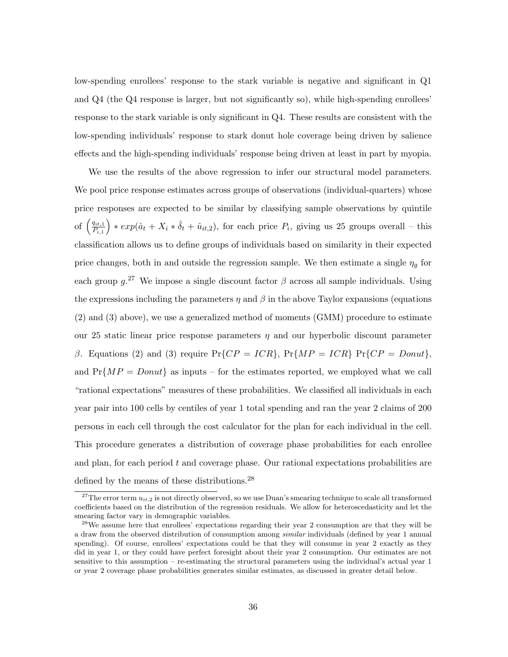low-spending enrollees' response to the stark variable is negative and significant in Q1 and Q4 (the Q4 response is larger, but not significantly so), while high-spending enrollees' response to the stark variable is only significant in Q4. These results are consistent with the low-spending individuals' response to stark donut hole coverage being driven by salience effects and the high-spending individuals' response being driven at least in part by myopia.

We use the results of the above regression to infer our structural model parameters. We pool price response estimates across groups of observations (individual-quarters) whose price responses are expected to be similar by classifying sample observations by quintile of  $\left(\frac{q_{it,1}}{P_{\cdot\cdot}}\right)$  $P_{i,1}$  $\Big\} * exp(\hat{a}_t + X_i * \hat{\delta}_t + \hat{u}_{it,2}),$  for each price  $P_i$ , giving us 25 groups overall – this classification allows us to define groups of individuals based on similarity in their expected price changes, both in and outside the regression sample. We then estimate a single  $\eta_g$  for each group  $g^{27}$  We impose a single discount factor  $\beta$  across all sample individuals. Using the expressions including the parameters  $\eta$  and  $\beta$  in the above Taylor expansions (equations (2) and (3) above), we use a generalized method of moments (GMM) procedure to estimate our 25 static linear price response parameters  $\eta$  and our hyperbolic discount parameter β. Equations (2) and (3) require  $Pr{CP = ICR}$ ,  $Pr{MP = ICR}$   $Pr{CP = Donut}$ , and  $Pr\{MP = Donut\}$  as inputs – for the estimates reported, we employed what we call "rational expectations" measures of these probabilities. We classified all individuals in each year pair into 100 cells by centiles of year 1 total spending and ran the year 2 claims of 200 persons in each cell through the cost calculator for the plan for each individual in the cell. This procedure generates a distribution of coverage phase probabilities for each enrollee and plan, for each period  $t$  and coverage phase. Our rational expectations probabilities are defined by the means of these distributions.<sup>28</sup>

<sup>&</sup>lt;sup>27</sup>The error term  $u_{it,2}$  is not directly observed, so we use Duan's smearing technique to scale all transformed coefficients based on the distribution of the regression residuals. We allow for heteroscedasticity and let the smearing factor vary in demographic variables.

<sup>&</sup>lt;sup>28</sup>We assume here that enrollees' expectations regarding their year 2 consumption are that they will be a draw from the observed distribution of consumption among similar individuals (defined by year 1 annual spending). Of course, enrollees' expectations could be that they will consume in year 2 exactly as they did in year 1, or they could have perfect foresight about their year 2 consumption. Our estimates are not sensitive to this assumption – re-estimating the structural parameters using the individual's actual year 1 or year 2 coverage phase probabilities generates similar estimates, as discussed in greater detail below.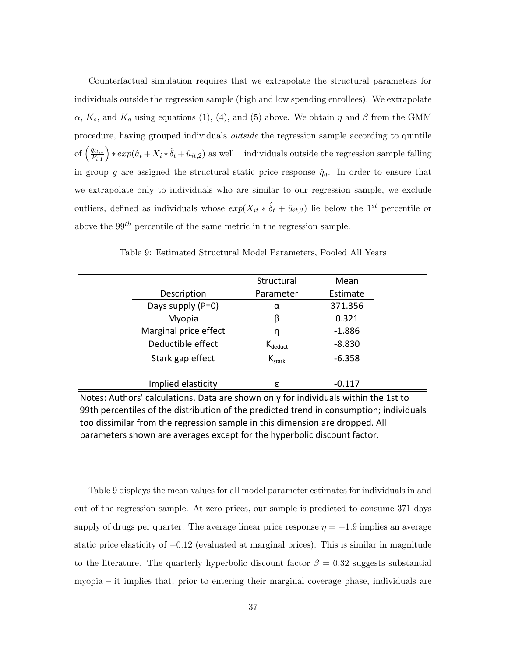Counterfactual simulation requires that we extrapolate the structural parameters for individuals outside the regression sample (high and low spending enrollees). We extrapolate  $\alpha$ ,  $K_s$ , and  $K_d$  using equations (1), (4), and (5) above. We obtain  $\eta$  and  $\beta$  from the GMM procedure, having grouped individuals outside the regression sample according to quintile of  $\left(\frac{q_{it,1}}{p}\right)$  $\overline{P_{i,1}}$  $\Big\} * exp(\hat{a}_t + X_i * \hat{\delta}_t + \hat{u}_{it,2})$  as well – individuals outside the regression sample falling in group g are assigned the structural static price response  $\hat{\eta}_g$ . In order to ensure that we extrapolate only to individuals who are similar to our regression sample, we exclude outliers, defined as individuals whose  $exp(X_{it} * \hat{\delta}_t + \hat{u}_{it,2})$  lie below the 1<sup>st</sup> percentile or above the  $99^{th}$  percentile of the same metric in the regression sample.

|                       | Structural        | Mean     |
|-----------------------|-------------------|----------|
| Description           | Parameter         | Estimate |
| Days supply $(P=0)$   | α                 | 371.356  |
| Myopia                | β                 | 0.321    |
| Marginal price effect | η                 | $-1.886$ |
| Deductible effect     | $K_{deduct}$      | $-8.830$ |
| Stark gap effect      | $K_{\text{star}}$ | $-6.358$ |
|                       |                   |          |
| Implied elasticity    | ε                 | $-0.117$ |

Table 9: Estimated Structural Model Parameters, Pooled All Years

Notes: Authors' calculations. Data are shown only for individuals within the 1st to 99th percentiles of the distribution of the predicted trend in consumption; individuals too dissimilar from the regression sample in this dimension are dropped. All parameters shown are averages except for the hyperbolic discount factor.

Table 9 displays the mean values for all model parameter estimates for individuals in and out of the regression sample. At zero prices, our sample is predicted to consume 371 days supply of drugs per quarter. The average linear price response  $\eta = -1.9$  implies an average static price elasticity of −0.12 (evaluated at marginal prices). This is similar in magnitude to the literature. The quarterly hyperbolic discount factor  $\beta = 0.32$  suggests substantial myopia – it implies that, prior to entering their marginal coverage phase, individuals are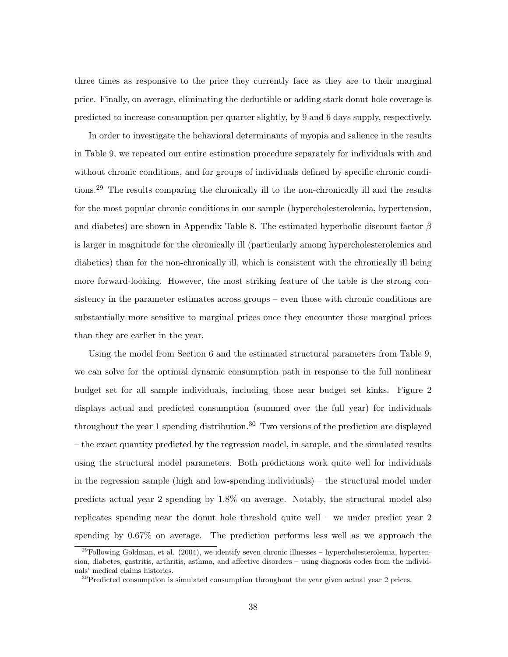three times as responsive to the price they currently face as they are to their marginal price. Finally, on average, eliminating the deductible or adding stark donut hole coverage is predicted to increase consumption per quarter slightly, by 9 and 6 days supply, respectively.

In order to investigate the behavioral determinants of myopia and salience in the results in Table 9, we repeated our entire estimation procedure separately for individuals with and without chronic conditions, and for groups of individuals defined by specific chronic conditions.<sup>29</sup> The results comparing the chronically ill to the non-chronically ill and the results for the most popular chronic conditions in our sample (hypercholesterolemia, hypertension, and diabetes) are shown in Appendix Table 8. The estimated hyperbolic discount factor  $\beta$ is larger in magnitude for the chronically ill (particularly among hypercholesterolemics and diabetics) than for the non-chronically ill, which is consistent with the chronically ill being more forward-looking. However, the most striking feature of the table is the strong consistency in the parameter estimates across groups – even those with chronic conditions are substantially more sensitive to marginal prices once they encounter those marginal prices than they are earlier in the year.

Using the model from Section 6 and the estimated structural parameters from Table 9, we can solve for the optimal dynamic consumption path in response to the full nonlinear budget set for all sample individuals, including those near budget set kinks. Figure 2 displays actual and predicted consumption (summed over the full year) for individuals throughout the year 1 spending distribution.<sup>30</sup> Two versions of the prediction are displayed – the exact quantity predicted by the regression model, in sample, and the simulated results using the structural model parameters. Both predictions work quite well for individuals in the regression sample (high and low-spending individuals) – the structural model under predicts actual year 2 spending by 1.8% on average. Notably, the structural model also replicates spending near the donut hole threshold quite well – we under predict year 2 spending by 0.67% on average. The prediction performs less well as we approach the

 $^{29}$ Following Goldman, et al. (2004), we identify seven chronic illnesses – hypercholesterolemia, hypertension, diabetes, gastritis, arthritis, asthma, and affective disorders – using diagnosis codes from the individuals' medical claims histories.

 $30$ Predicted consumption is simulated consumption throughout the year given actual year 2 prices.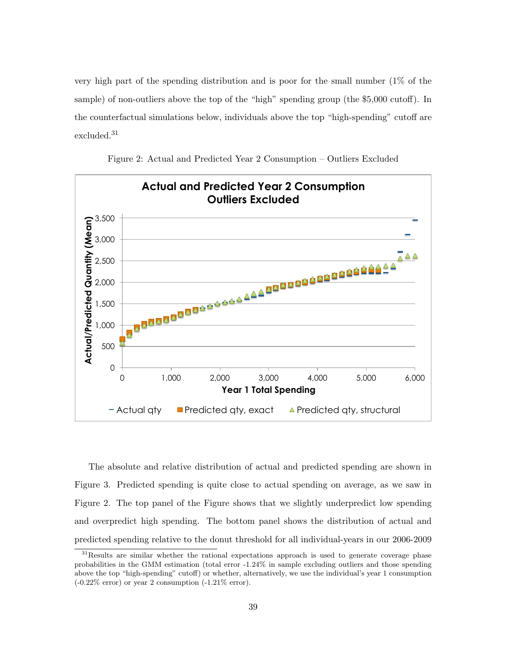very high part of the spending distribution and is poor for the small number (1% of the sample) of non-outliers above the top of the "high" spending group (the \$5,000 cutoff). In the counterfactual simulations below, individuals above the top "high-spending" cutoff are excluded.<sup>31</sup>



Figure 2: Actual and Predicted Year 2 Consumption – Outliers Excluded

The absolute and relative distribution of actual and predicted spending are shown in Figure 3. Predicted spending is quite close to actual spending on average, as we saw in Figure 2. The top panel of the Figure shows that we slightly underpredict low spending and overpredict high spending. The bottom panel shows the distribution of actual and predicted spending relative to the donut threshold for all individual-years in our 2006-2009

<sup>&</sup>lt;sup>31</sup>Results are similar whether the rational expectations approach is used to generate coverage phase probabilities in the GMM estimation (total error -1.24% in sample excluding outliers and those spending above the top "high-spending" cutoff) or whether, alternatively, we use the individual's year 1 consumption  $(-0.22\%$  error) or year 2 consumption  $(-1.21\%$  error).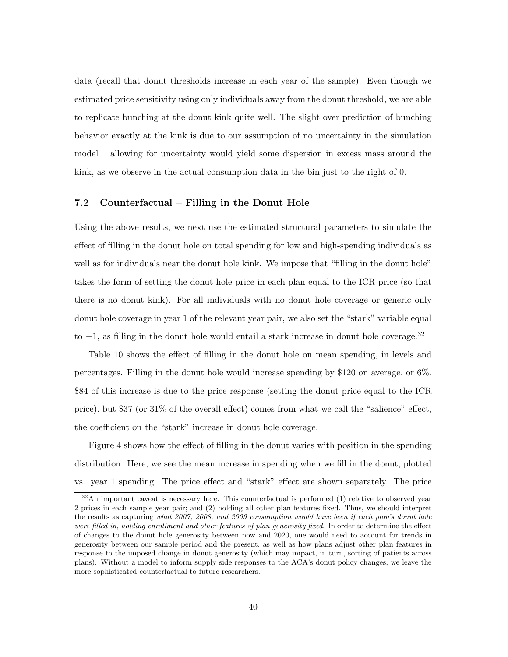data (recall that donut thresholds increase in each year of the sample). Even though we estimated price sensitivity using only individuals away from the donut threshold, we are able to replicate bunching at the donut kink quite well. The slight over prediction of bunching behavior exactly at the kink is due to our assumption of no uncertainty in the simulation model – allowing for uncertainty would yield some dispersion in excess mass around the kink, as we observe in the actual consumption data in the bin just to the right of 0.

#### 7.2 Counterfactual – Filling in the Donut Hole

Using the above results, we next use the estimated structural parameters to simulate the effect of filling in the donut hole on total spending for low and high-spending individuals as well as for individuals near the donut hole kink. We impose that "filling in the donut hole" takes the form of setting the donut hole price in each plan equal to the ICR price (so that there is no donut kink). For all individuals with no donut hole coverage or generic only donut hole coverage in year 1 of the relevant year pair, we also set the "stark" variable equal to  $-1$ , as filling in the donut hole would entail a stark increase in donut hole coverage.<sup>32</sup>

Table 10 shows the effect of filling in the donut hole on mean spending, in levels and percentages. Filling in the donut hole would increase spending by \$120 on average, or 6%. \$84 of this increase is due to the price response (setting the donut price equal to the ICR price), but \$37 (or 31% of the overall effect) comes from what we call the "salience" effect, the coefficient on the "stark" increase in donut hole coverage.

Figure 4 shows how the effect of filling in the donut varies with position in the spending distribution. Here, we see the mean increase in spending when we fill in the donut, plotted vs. year 1 spending. The price effect and "stark" effect are shown separately. The price

 $32$ An important caveat is necessary here. This counterfactual is performed (1) relative to observed year 2 prices in each sample year pair; and (2) holding all other plan features fixed. Thus, we should interpret the results as capturing what 2007, 2008, and 2009 consumption would have been if each plan's donut hole were filled in, holding enrollment and other features of plan generosity fixed. In order to determine the effect of changes to the donut hole generosity between now and 2020, one would need to account for trends in generosity between our sample period and the present, as well as how plans adjust other plan features in response to the imposed change in donut generosity (which may impact, in turn, sorting of patients across plans). Without a model to inform supply side responses to the ACA's donut policy changes, we leave the more sophisticated counterfactual to future researchers.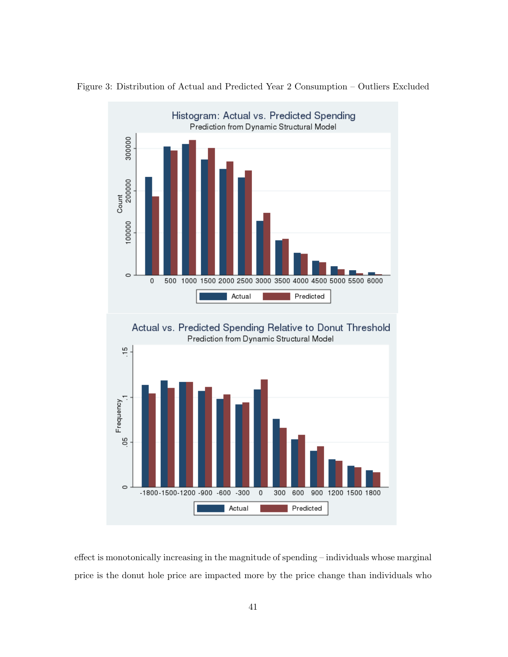

Figure 3: Distribution of Actual and Predicted Year 2 Consumption – Outliers Excluded

effect is monotonically increasing in the magnitude of spending – individuals whose marginal price is the donut hole price are impacted more by the price change than individuals who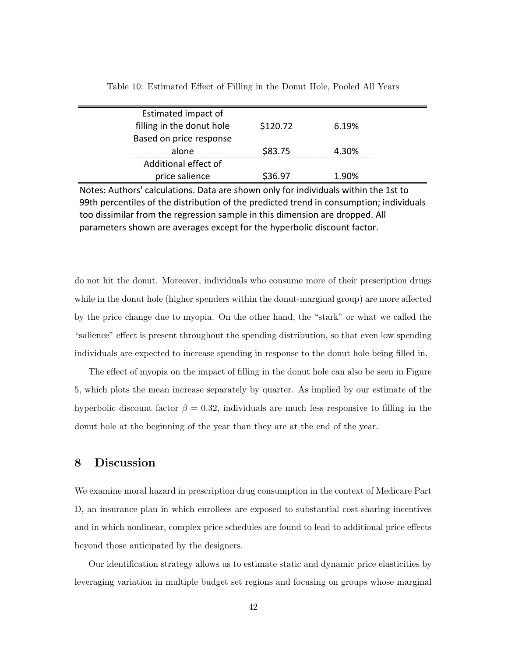| Estimated impact of<br>filling in the donut hole | \$120.72 | 6.19% |  |
|--------------------------------------------------|----------|-------|--|
| Based on price response                          |          |       |  |
| alone                                            | \$83.75  | 4.30% |  |
| Additional effect of                             |          |       |  |
| price salience                                   | \$36.97  | 1.90% |  |

Table 10: Estimated Effect of Filling in the Donut Hole, Pooled All Years

Notes: Authors' calculations. Data are shown only for individuals within the 1st to 99th percentiles of the distribution of the predicted trend in consumption; individuals too dissimilar from the regression sample in this dimension are dropped. All parameters shown are averages except for the hyperbolic discount factor.

do not hit the donut. Moreover, individuals who consume more of their prescription drugs while in the donut hole (higher spenders within the donut-marginal group) are more affected by the price change due to myopia. On the other hand, the "stark" or what we called the "salience" effect is present throughout the spending distribution, so that even low spending individuals are expected to increase spending in response to the donut hole being filled in.

The effect of myopia on the impact of filling in the donut hole can also be seen in Figure 5, which plots the mean increase separately by quarter. As implied by our estimate of the hyperbolic discount factor  $\beta = 0.32$ , individuals are much less responsive to filling in the donut hole at the beginning of the year than they are at the end of the year.

## 8 Discussion

We examine moral hazard in prescription drug consumption in the context of Medicare Part D, an insurance plan in which enrollees are exposed to substantial cost-sharing incentives and in which nonlinear, complex price schedules are found to lead to additional price effects beyond those anticipated by the designers.

Our identification strategy allows us to estimate static and dynamic price elasticities by leveraging variation in multiple budget set regions and focusing on groups whose marginal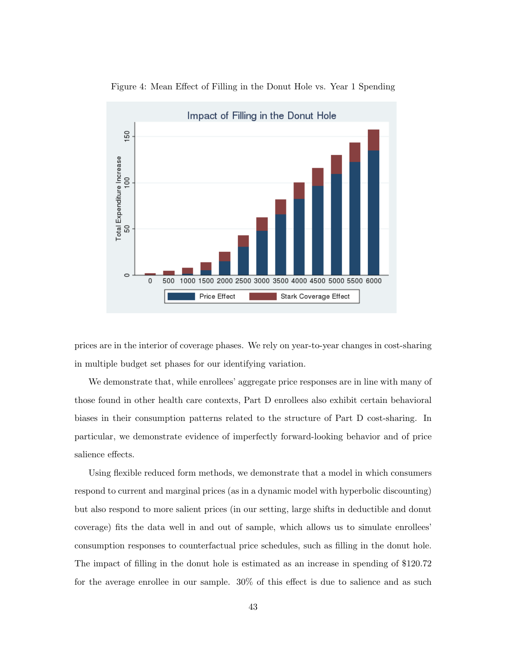

Figure 4: Mean Effect of Filling in the Donut Hole vs. Year 1 Spending

prices are in the interior of coverage phases. We rely on year-to-year changes in cost-sharing in multiple budget set phases for our identifying variation.

We demonstrate that, while enrollees' aggregate price responses are in line with many of those found in other health care contexts, Part D enrollees also exhibit certain behavioral biases in their consumption patterns related to the structure of Part D cost-sharing. In particular, we demonstrate evidence of imperfectly forward-looking behavior and of price salience effects.

Using flexible reduced form methods, we demonstrate that a model in which consumers respond to current and marginal prices (as in a dynamic model with hyperbolic discounting) but also respond to more salient prices (in our setting, large shifts in deductible and donut coverage) fits the data well in and out of sample, which allows us to simulate enrollees' consumption responses to counterfactual price schedules, such as filling in the donut hole. The impact of filling in the donut hole is estimated as an increase in spending of \$120.72 for the average enrollee in our sample. 30% of this effect is due to salience and as such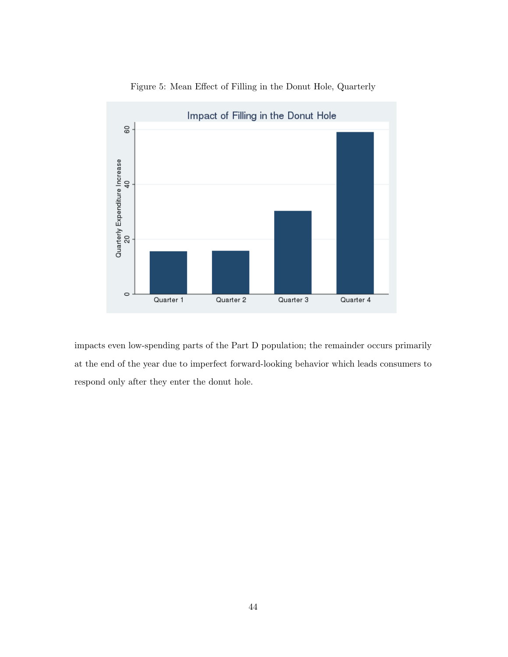

Figure 5: Mean Effect of Filling in the Donut Hole, Quarterly

impacts even low-spending parts of the Part D population; the remainder occurs primarily at the end of the year due to imperfect forward-looking behavior which leads consumers to respond only after they enter the donut hole.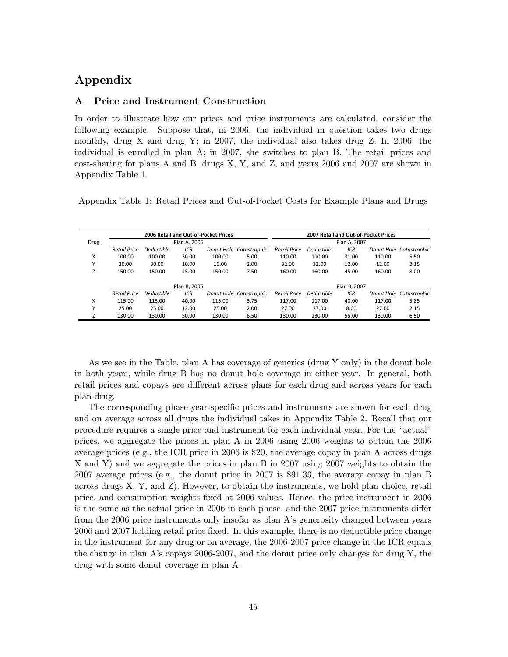# Appendix

#### A Price and Instrument Construction

In order to illustrate how our prices and price instruments are calculated, consider the following example. Suppose that, in 2006, the individual in question takes two drugs monthly, drug X and drug Y; in 2007, the individual also takes drug Z. In 2006, the individual is enrolled in plan A; in 2007, she switches to plan B. The retail prices and cost-sharing for plans A and B, drugs X, Y, and Z, and years 2006 and 2007 are shown in Appendix Table 1.

Appendix Table 1: Retail Prices and Out-of-Pocket Costs for Example Plans and Drugs

|      |                     |            |              | 2006 Retail and Out-of-Pocket Prices |                         | 2007 Retail and Out-of-Pocket Prices |                   |              |            |              |  |
|------|---------------------|------------|--------------|--------------------------------------|-------------------------|--------------------------------------|-------------------|--------------|------------|--------------|--|
| Drug |                     |            | Plan A. 2006 |                                      |                         |                                      |                   | Plan A. 2007 |            |              |  |
|      | <b>Retail Price</b> | Deductible | ICR          |                                      | Donut Hole Catastrophic | <b>Retail Price</b>                  | <b>Deductible</b> | ICR          | Donut Hole | Catastrophic |  |
| X    | 100.00              | 100.00     | 30.00        | 100.00                               | 5.00                    | 110.00                               | 110.00            | 31.00        | 110.00     | 5.50         |  |
| Υ    | 30.00               | 30.00      | 10.00        | 10.00                                | 2.00                    | 32.00                                | 32.00             | 12.00        | 12.00      | 2.15         |  |
|      | 150.00              | 150.00     | 45.00        | 150.00                               | 7.50                    | 160.00                               | 160.00            | 45.00        | 160.00     | 8.00         |  |
|      |                     |            |              |                                      |                         |                                      |                   |              |            |              |  |
|      |                     |            | Plan B, 2006 |                                      |                         |                                      |                   | Plan B, 2007 |            |              |  |
|      | <b>Retail Price</b> | Deductible | ICR          |                                      | Donut Hole Catastrophic | <b>Retail Price</b>                  | <b>Deductible</b> | ICR          | Donut Hole | Catastrophic |  |
| X    | 115.00              | 115.00     | 40.00        | 115.00                               | 5.75                    | 117.00                               | 117.00            | 40.00        | 117.00     | 5.85         |  |
| Y    | 25.00               | 25.00      | 12.00        | 25.00                                | 2.00                    | 27.00                                | 27.00             | 8.00         | 27.00      | 2.15         |  |
|      | 130.00              | 130.00     | 50.00        | 130.00                               | 6.50                    | 130.00                               | 130.00            | 55.00        | 130.00     | 6.50         |  |

As we see in the Table, plan A has coverage of generics (drug Y only) in the donut hole in both years, while drug B has no donut hole coverage in either year. In general, both retail prices and copays are different across plans for each drug and across years for each plan-drug.

The corresponding phase-year-specific prices and instruments are shown for each drug and on average across all drugs the individual takes in Appendix Table 2. Recall that our procedure requires a single price and instrument for each individual-year. For the "actual" prices, we aggregate the prices in plan A in 2006 using 2006 weights to obtain the 2006 average prices (e.g., the ICR price in 2006 is \$20, the average copay in plan A across drugs X and Y) and we aggregate the prices in plan B in 2007 using 2007 weights to obtain the 2007 average prices (e.g., the donut price in 2007 is \$91.33, the average copay in plan B across drugs X, Y, and Z). However, to obtain the instruments, we hold plan choice, retail price, and consumption weights fixed at 2006 values. Hence, the price instrument in 2006 is the same as the actual price in 2006 in each phase, and the 2007 price instruments differ from the 2006 price instruments only insofar as plan A's generosity changed between years 2006 and 2007 holding retail price fixed. In this example, there is no deductible price change in the instrument for any drug or on average, the 2006-2007 price change in the ICR equals the change in plan A's copays 2006-2007, and the donut price only changes for drug Y, the drug with some donut coverage in plan A.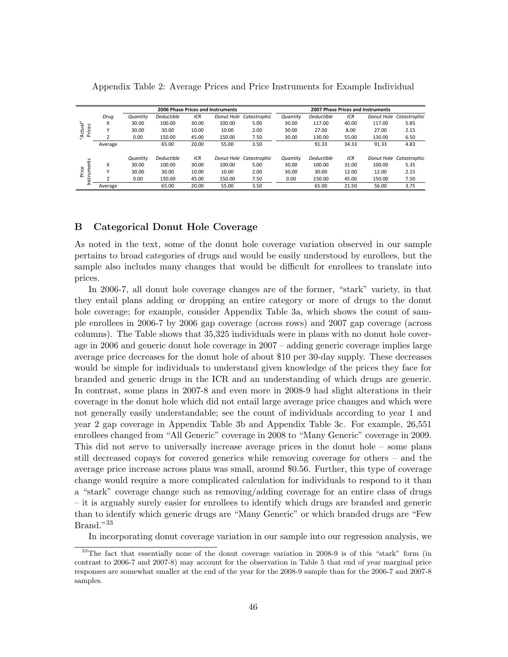|                   |              |          | 2006 Phase Prices and Instruments |       | 2007 Phase Prices and Instruments |                         |          |                   |       |            |                         |
|-------------------|--------------|----------|-----------------------------------|-------|-----------------------------------|-------------------------|----------|-------------------|-------|------------|-------------------------|
|                   | Drug         | Quantity | <b>Deductible</b>                 | ICR   |                                   | Donut Hole Catastrophic | Quantity | <b>Deductible</b> | ICR   | Donut Hole | Catastrophic            |
| Actual"           | x            | 30.00    | 100.00                            | 30.00 | 100.00                            | 5.00                    | 30.00    | 117.00            | 40.00 | 117.00     | 5.85                    |
| Prices            | $\checkmark$ | 30.00    | 30.00                             | 10.00 | 10.00                             | 2.00                    | 30.00    | 27.00             | 8.00  | 27.00      | 2.15                    |
|                   |              | 0.00     | 150.00                            | 45.00 | 150.00                            | 7.50                    | 30.00    | 130.00            | 55.00 | 130.00     | 6.50                    |
|                   | Average      |          | 65.00                             | 20.00 | 55.00                             | 3.50                    |          | 91.33             | 34.33 | 91.33      | 4.83                    |
|                   |              | Quantity | Deductible                        | ICR   |                                   | Donut Hole Catastrophic | Quantity | <b>Deductible</b> | ICR   |            | Donut Hole Catastrophic |
| rË                | X            | 30.00    | 100.00                            | 30.00 | 100.00                            | 5.00                    | 30.00    | 100.00            | 31.00 | 100.00     | 5.35                    |
| Instrume<br>Price | $\checkmark$ | 30.00    | 30.00                             | 10.00 | 10.00                             | 2.00                    | 30.00    | 30.00             | 12.00 | 12.00      | 2.15                    |
|                   |              | 0.00     | 150.00                            | 45.00 | 150.00                            | 7.50                    | 0.00     | 150.00            | 45.00 | 150.00     | 7.50                    |
|                   | Average      |          | 65.00                             | 20.00 | 55.00                             | 3.50                    |          | 65.00             | 21.50 | 56.00      | 3.75                    |

Appendix Table 2: Average Prices and Price Instruments for Example Individual

#### B Categorical Donut Hole Coverage

As noted in the text, some of the donut hole coverage variation observed in our sample pertains to broad categories of drugs and would be easily understood by enrollees, but the sample also includes many changes that would be difficult for enrollees to translate into prices.

In 2006-7, all donut hole coverage changes are of the former, "stark" variety, in that they entail plans adding or dropping an entire category or more of drugs to the donut hole coverage; for example, consider Appendix Table 3a, which shows the count of sample enrollees in 2006-7 by 2006 gap coverage (across rows) and 2007 gap coverage (across columns). The Table shows that 35,325 individuals were in plans with no donut hole coverage in 2006 and generic donut hole coverage in 2007 – adding generic coverage implies large average price decreases for the donut hole of about \$10 per 30-day supply. These decreases would be simple for individuals to understand given knowledge of the prices they face for branded and generic drugs in the ICR and an understanding of which drugs are generic. In contrast, some plans in 2007-8 and even more in 2008-9 had slight alterations in their coverage in the donut hole which did not entail large average price changes and which were not generally easily understandable; see the count of individuals according to year 1 and year 2 gap coverage in Appendix Table 3b and Appendix Table 3c. For example, 26,551 enrollees changed from "All Generic" coverage in 2008 to "Many Generic" coverage in 2009. This did not serve to universally increase average prices in the donut hole – some plans still decreased copays for covered generics while removing coverage for others – and the average price increase across plans was small, around \$0.56. Further, this type of coverage change would require a more complicated calculation for individuals to respond to it than a "stark" coverage change such as removing/adding coverage for an entire class of drugs – it is arguably surely easier for enrollees to identify which drugs are branded and generic than to identify which generic drugs are "Many Generic" or which branded drugs are "Few Brand."<sup>33</sup>

In incorporating donut coverage variation in our sample into our regression analysis, we

<sup>33</sup>The fact that essentially none of the donut coverage variation in 2008-9 is of this "stark" form (in contrast to 2006-7 and 2007-8) may account for the observation in Table 5 that end of year marginal price responses are somewhat smaller at the end of the year for the 2008-9 sample than for the 2006-7 and 2007-8 samples.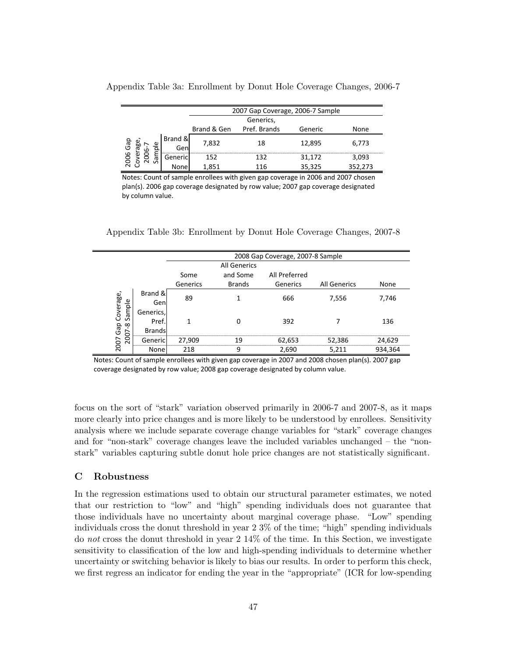| 2007 Gap Coverage, 2006-7 Sample |                 |       |     |        |         |  |  |  |
|----------------------------------|-----------------|-------|-----|--------|---------|--|--|--|
| Generics,                        |                 |       |     |        |         |  |  |  |
|                                  | Generic         | None  |     |        |         |  |  |  |
| င္ယြ<br>۵J<br>αı<br>ы            | Brand &<br>Genl | 7,832 | 18  | 12,895 | 6,773   |  |  |  |
| ă                                | Genericl        | 15つ   | 127 | 31.172 | 3.093   |  |  |  |
|                                  | None            | 851   | 116 | 35,325 | 352,273 |  |  |  |

Appendix Table 3a: Enrollment by Donut Hole Coverage Changes, 2006-7

Notes: Count of sample enrollees with given gap coverage in 2006 and 2007 chosen plan(s). 2006 gap coverage designated by row value; 2007 gap coverage designated by column value.

|  | Appendix Table 3b: Enrollment by Donut Hole Coverage Changes, 2007-8 |  |  |  |
|--|----------------------------------------------------------------------|--|--|--|
|  |                                                                      |  |  |  |

|                                |                                     |          |                     | 2008 Gap Coverage, 2007-8 Sample |                     |         |  |  |
|--------------------------------|-------------------------------------|----------|---------------------|----------------------------------|---------------------|---------|--|--|
|                                |                                     |          | <b>All Generics</b> |                                  |                     |         |  |  |
|                                |                                     | Some     | and Some            | All Preferred                    |                     |         |  |  |
|                                |                                     | Generics | <b>Brands</b>       | Generics                         | <b>All Generics</b> | None    |  |  |
| Coverage,                      | Brand &<br>Genl                     | 89       |                     | 666                              | 7,556               | 7,746   |  |  |
| Sample<br>Gap<br>$\infty$<br>∼ | Generics,<br>Pref.<br><b>Brands</b> |          |                     | 392                              |                     | 136     |  |  |
| 200<br>2007                    | Genericl                            | 27,909   | 19                  | 62,653                           | 52,386              | 24,629  |  |  |
|                                | None                                | 218      | ٩                   | 2,690                            | 5,211               | 934,364 |  |  |

Notes: Count of sample enrollees with given gap coverage in 2007 and 2008 chosen plan(s). 2007 gap coverage designated by row value; 2008 gap coverage designated by column value.

focus on the sort of "stark" variation observed primarily in 2006-7 and 2007-8, as it maps more clearly into price changes and is more likely to be understood by enrollees. Sensitivity analysis where we include separate coverage change variables for "stark" coverage changes and for "non-stark" coverage changes leave the included variables unchanged – the "nonstark" variables capturing subtle donut hole price changes are not statistically significant.

#### C Robustness

 $\equiv$ 

In the regression estimations used to obtain our structural parameter estimates, we noted that our restriction to "low" and "high" spending individuals does not guarantee that those individuals have no uncertainty about marginal coverage phase. "Low" spending individuals cross the donut threshold in year 2 3% of the time; "high" spending individuals do not cross the donut threshold in year 2 14% of the time. In this Section, we investigate sensitivity to classification of the low and high-spending individuals to determine whether uncertainty or switching behavior is likely to bias our results. In order to perform this check, we first regress an indicator for ending the year in the "appropriate" (ICR for low-spending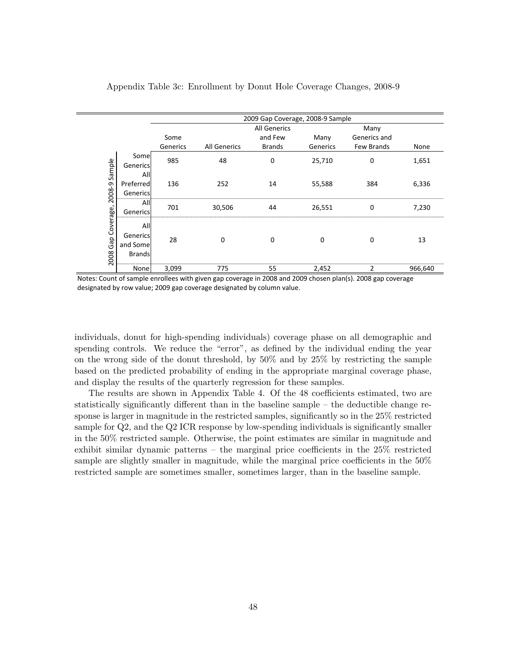|                       |                                              |          |              | 2009 Gap Coverage, 2008-9 Sample |          |              |         |
|-----------------------|----------------------------------------------|----------|--------------|----------------------------------|----------|--------------|---------|
|                       |                                              |          |              | <b>All Generics</b>              |          | Many         |         |
|                       |                                              | Some     |              | and Few                          | Many     | Generics and |         |
|                       |                                              | Generics | All Generics | Brands                           | Generics | Few Brands   | None    |
|                       | Somel<br>Genericsl                           | 985      | 48           | 0                                | 25,710   | 0            | 1,651   |
| 2008-9 Sample         | All<br>Preferred<br>Generics                 | 136      | 252          | 14                               | 55,588   | 384          | 6,336   |
|                       | All<br>Generics                              | 701      | 30,506       | 44                               | 26,551   | 0            | 7,230   |
| Gap Coverage,<br>2008 | All<br>Generics<br>and Some<br><b>Brands</b> | 28       | 0            | 0                                | $\Omega$ | 0            | 13      |
|                       | None                                         | 3,099    | 775          | 55                               | 2,452    | 2            | 966,640 |

Appendix Table 3c: Enrollment by Donut Hole Coverage Changes, 2008-9

Ē,

Notes: Count of sample enrollees with given gap coverage in 2008 and 2009 chosen plan(s). 2008 gap coverage designated by row value; 2009 gap coverage designated by column value.

individuals, donut for high-spending individuals) coverage phase on all demographic and spending controls. We reduce the "error", as defined by the individual ending the year on the wrong side of the donut threshold, by 50% and by 25% by restricting the sample based on the predicted probability of ending in the appropriate marginal coverage phase, and display the results of the quarterly regression for these samples.

The results are shown in Appendix Table 4. Of the 48 coefficients estimated, two are statistically significantly different than in the baseline sample – the deductible change response is larger in magnitude in the restricted samples, significantly so in the 25% restricted sample for Q2, and the Q2 ICR response by low-spending individuals is significantly smaller in the 50% restricted sample. Otherwise, the point estimates are similar in magnitude and exhibit similar dynamic patterns – the marginal price coefficients in the 25% restricted sample are slightly smaller in magnitude, while the marginal price coefficients in the  $50\%$ restricted sample are sometimes smaller, sometimes larger, than in the baseline sample.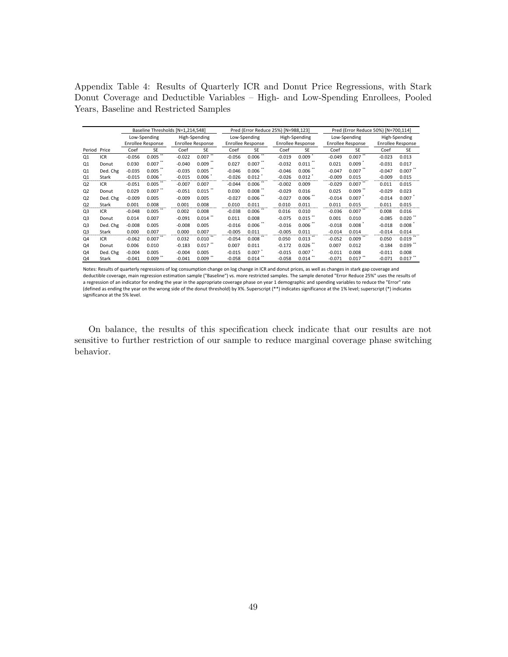Appendix Table 4: Results of Quarterly ICR and Donut Price Regressions, with Stark Donut Coverage and Deductible Variables – High- and Low-Spending Enrollees, Pooled Years, Baseline and Restricted Samples

|                |            | Baseline Thresholds [N=1,214,548] |              |          |                   |          | Pred (Error Reduce 25%) [N=988,123] |          |                          | Pred (Error Reduce 50%) [N=700,114] |                          |          |                          |
|----------------|------------|-----------------------------------|--------------|----------|-------------------|----------|-------------------------------------|----------|--------------------------|-------------------------------------|--------------------------|----------|--------------------------|
|                |            |                                   | Low-Spending |          | High-Spending     |          | Low-Spending                        |          | High-Spending            |                                     | Low-Spending             |          | High-Spending            |
|                |            | <b>Enrollee Response</b>          |              |          | Enrollee Response |          | Enrollee Response                   |          | <b>Enrollee Response</b> |                                     | <b>Enrollee Response</b> |          | <b>Enrollee Response</b> |
| Period Price   |            | Coef                              | <b>SE</b>    | Coef     | <b>SE</b>         | Coef     | <b>SE</b>                           | Coef     | <b>SE</b>                | Coef                                | <b>SE</b>                | Coef     | <b>SE</b>                |
| Q1             | ICR        | $-0.056$                          | 0.005        | $-0.022$ | 0.007             | $-0.056$ | $0.006$ <sup>**</sup>               | $-0.019$ | 0.009                    | $-0.049$                            | $0.007$ <sup>**</sup>    | $-0.023$ | 0.013                    |
| Q1             | Donut      | 0.030                             | 0.007        | $-0.040$ | 0.009             | 0.027    | 0.007                               | $-0.032$ | 0.011                    | 0.021                               | 0.009                    | $-0.031$ | 0.017                    |
| Q1             | Ded. Chg   | $-0.035$                          | 0.005        | $-0.035$ | 0.005             | $-0.046$ | 0.006                               | $-0.046$ | 0.006                    | $-0.047$                            | 0.007                    | $-0.047$ | $0.007$ $\cdot$          |
| Q1             | Stark      | $-0.015$                          | 0.006        | $-0.015$ | 0.006             | $-0.026$ | 0.012                               | $-0.026$ | 0.012                    | $-0.009$                            | 0.015                    | $-0.009$ | 0.015                    |
| Q <sub>2</sub> | <b>ICR</b> | $-0.051$                          | 0.005        | $-0.007$ | 0.007             | $-0.044$ | 0.006                               | $-0.002$ | 0.009                    | $-0.029$                            | 0.007                    | 0.011    | 0.015                    |
| Q <sub>2</sub> | Donut      | 0.029                             | $0.007$ **   | $-0.051$ | 0.015             | 0.030    | 0.008                               | $-0.029$ | 0.016                    | 0.025                               | 0.009                    | $-0.029$ | 0.023                    |
| Q <sub>2</sub> | Ded. Chg   | $-0.009$                          | 0.005        | $-0.009$ | 0.005             | $-0.027$ | $0.006$ **                          | $-0.027$ | 0.006                    | $-0.014$                            | 0.007                    | $-0.014$ | 0.007                    |
| Q <sub>2</sub> | Stark      | 0.001                             | 0.008        | 0.001    | 0.008             | 0.010    | 0.011                               | 0.010    | 0.011                    | 0.011                               | 0.015                    | 0.011    | 0.015                    |
| Q3             | <b>ICR</b> | $-0.048$                          | 0.005        | 0.002    | 0.008             | $-0.038$ | 0.006                               | 0.016    | 0.010                    | $-0.036$                            | 0.007                    | 0.008    | 0.016                    |
| Q <sub>3</sub> | Donut      | 0.014                             | 0.007        | $-0.091$ | 0.014             | 0.011    | 0.008                               | $-0.075$ | 0.015                    | 0.001                               | 0.010                    | $-0.085$ | 0.020                    |
| Q <sub>3</sub> | Ded. Chg   | $-0.008$                          | 0.005        | $-0.008$ | 0.005             | $-0.016$ | 0.006                               | $-0.016$ | 0.006                    | $-0.018$                            | 0.008                    | $-0.018$ | 0.008                    |
| Q3             | Stark      | 0.000                             | 0.007        | 0.000    | 0.007             | $-0.005$ | 0.011                               | $-0.005$ | 0.011                    | $-0.014$                            | 0.014                    | $-0.014$ | 0.014                    |
| Q4             | <b>ICR</b> | $-0.062$                          | 0.007        | 0.032    | 0.010             | $-0.054$ | 0.008                               | 0.050    | 0.013                    | $-0.052$                            | 0.009                    | 0.050    | 0.019                    |
| Q4             | Donut      | 0.006                             | 0.010        | $-0.183$ | 0.017             | 0.007    | 0.011                               | $-0.172$ | 0.026                    | 0.007                               | 0.012                    | $-0.184$ | $0.039$ **               |
| Q4             | Ded. Chg   | $-0.004$                          | 0.005        | $-0.004$ | 0.005             | $-0.015$ | 0.007                               | $-0.015$ | $0.007$ <sup>*</sup>     | $-0.011$                            | 0.008                    | $-0.011$ | 0.008                    |
| Q4             | Stark      | $-0.041$                          | 0.009        | $-0.041$ | 0.009             | $-0.058$ | 0.014                               | $-0.058$ | 0.014                    | $-0.071$                            | 0.017                    | $-0.071$ | 0.017                    |

Notes: Results of quarterly regressions of log consumption change on log change in ICR and donut prices, as well as changes in stark gap coverage and deductible coverage, main regression estimation sample ("Baseline") vs. more restricted samples. The sample denoted "Error Reduce 25%" uses the results of a regression of an indicator for ending the year in the appropriate coverage phase on year 1 demographic and spending variables to reduce the "Error" rate (defined as ending the year on the wrong side of the donut threshold) by X%. Superscript (\*\*) indicates significance at the 1% level; superscript (\*) indicates significance at the 5% level.

On balance, the results of this specification check indicate that our results are not sensitive to further restriction of our sample to reduce marginal coverage phase switching behavior.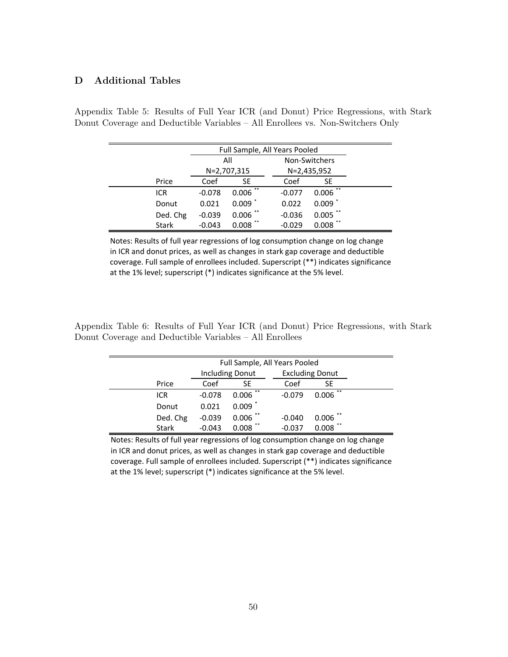### D Additional Tables

|              |          | Full Sample, All Years Pooled |          |               |  |  |  |  |
|--------------|----------|-------------------------------|----------|---------------|--|--|--|--|
|              |          | All                           |          | Non-Switchers |  |  |  |  |
|              |          | N=2,707,315                   |          | N=2,435,952   |  |  |  |  |
| Price        | Coef     | SE                            | Coef     | <b>SE</b>     |  |  |  |  |
| ICR          | $-0.078$ | **<br>0.006                   | $-0.077$ | **<br>0.006   |  |  |  |  |
| Donut        | 0.021    | 0.009                         | 0.022    | $0.009$ $*$   |  |  |  |  |
| Ded. Chg     | $-0.039$ | **<br>0.006                   | $-0.036$ | $0.005$ **    |  |  |  |  |
| <b>Stark</b> | $-0.043$ | 0.008                         | $-0.029$ | 0.008         |  |  |  |  |

Appendix Table 5: Results of Full Year ICR (and Donut) Price Regressions, with Stark Donut Coverage and Deductible Variables – All Enrollees vs. Non-Switchers Only

Notes: Results of full year regressions of log consumption change on log change in:ICR and donut prices, as well as changes in stark gap coverage and deductible coverage. Full sample of enrollees included. Superscript (\*\*) indicates significance at the 1% level; superscript (\*) indicates significance at the 5% level.

Appendix Table 6: Results of Full Year ICR (and Donut) Price Regressions, with Stark Donut Coverage and Deductible Variables - All Enrollees

|              | Full Sample, All Years Pooled |                        |          |                        |  |  |  |  |  |  |
|--------------|-------------------------------|------------------------|----------|------------------------|--|--|--|--|--|--|
|              |                               | <b>Including Donut</b> |          | <b>Excluding Donut</b> |  |  |  |  |  |  |
| Price        | Coef                          | SE                     | Coef     | SE                     |  |  |  |  |  |  |
| ICR          | $-0.078$                      | **<br>0.006            | $-0.079$ | **<br>0.006            |  |  |  |  |  |  |
| Donut        | 0.021                         | $0.009$ <sup>*</sup>   |          |                        |  |  |  |  |  |  |
| Ded. Chg     | $-0.039$                      | **<br>0.006            | $-0.040$ | **<br>0.006            |  |  |  |  |  |  |
| <b>Stark</b> | $-0.043$                      | **<br>0.008            | $-0.037$ | **<br>0.008            |  |  |  |  |  |  |

Notes: Results of full year regressions of log consumption change on log change in ICR and donut prices, as well as changes in stark gap coverage and deductible coverage. Full sample of enrollees included. Superscript (\*\*) indicates significance at the 1% level; superscript (\*) indicates significance at the 5% level.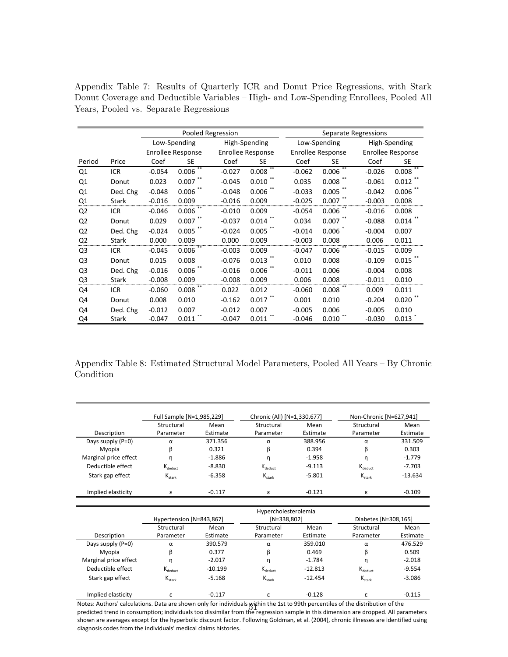|                |              |          |                   | Pooled Regression |                   |          | Separate Regressions |          |                   |  |  |
|----------------|--------------|----------|-------------------|-------------------|-------------------|----------|----------------------|----------|-------------------|--|--|
|                |              |          | Low-Spending      |                   | High-Spending     |          | Low-Spending         |          | High-Spending     |  |  |
|                |              |          | Enrollee Response |                   | Enrollee Response |          | Enrollee Response    |          | Enrollee Response |  |  |
| Period         | Price        | Coef     | <b>SE</b>         | Coef              | SE                | Coef     | SE                   | Coef     | SE                |  |  |
| Q1             | <b>ICR</b>   | $-0.054$ | $***$<br>0.006    | $-0.027$          | $***$<br>0.008    | $-0.062$ | $***$<br>0.006       | -0.026   | $***$<br>0.008    |  |  |
| Q1             | Donut        | 0.023    | $0.007$ **        | $-0.045$          | 0.010             | 0.035    | 0.008                | $-0.061$ | 0.012             |  |  |
| Q1             | Ded. Chg     | $-0.048$ | 0.006             | $-0.048$          | 0.006             | $-0.033$ | 0.005                | $-0.042$ | 0.006             |  |  |
| Q1             | Stark        | $-0.016$ | 0.009             | $-0.016$          | 0.009             | $-0.025$ | 0.007                | $-0.003$ | 0.008             |  |  |
| Q <sub>2</sub> | <b>ICR</b>   | $-0.046$ | 0.006             | $-0.010$          | 0.009             | $-0.054$ | 0.006                | $-0.016$ | 0.008             |  |  |
| Q <sub>2</sub> | Donut        | 0.029    | $0.007$ **        | $-0.037$          | 0.014             | 0.034    | 0.007                | $-0.088$ | 0.014             |  |  |
| Q <sub>2</sub> | Ded. Chg     | $-0.024$ | 0.005             | $-0.024$          | 0.005             | $-0.014$ | 0.006                | $-0.004$ | 0.007             |  |  |
| Q <sub>2</sub> | Stark        | 0.000    | 0.009             | 0.000             | 0.009             | $-0.003$ | 0.008                | 0.006    | 0.011             |  |  |
| Q <sub>3</sub> | ICR          | $-0.045$ | 0.006             | $-0.003$          | 0.009             | $-0.047$ | 0.006                | $-0.015$ | 0.009             |  |  |
| Q <sub>3</sub> | Donut        | 0.015    | 0.008             | $-0.076$          | 0.013             | 0.010    | 0.008                | $-0.109$ | 0.015             |  |  |
| Q <sub>3</sub> | Ded. Chg     | $-0.016$ | 0.006             | $-0.016$          | 0.006             | $-0.011$ | 0.006                | $-0.004$ | 0.008             |  |  |
| Q3             | <b>Stark</b> | $-0.008$ | 0.009             | $-0.008$          | 0.009             | 0.006    | 0.008                | $-0.011$ | 0.010             |  |  |
| Q4             | <b>ICR</b>   | $-0.060$ | 0.008             | 0.022             | 0.012             | $-0.060$ | 0.008                | 0.009    | 0.011             |  |  |
| Q4             | Donut        | 0.008    | 0.010             | $-0.162$          | 0.017             | 0.001    | 0.010                | $-0.204$ | 0.020             |  |  |
| Q4             | Ded. Chg     | $-0.012$ | 0.007             | $-0.012$          | 0.007             | $-0.005$ | 0.006                | $-0.005$ | 0.010             |  |  |
| Q4             | Stark        | $-0.047$ | 0.011             | $-0.047$          | 0.011             | $-0.046$ | 0.010                | $-0.030$ | 0.013             |  |  |

Appendix Table 7: Results of Quarterly ICR and Donut Price Regressions, with Stark Donut Coverage and Deductible Variables – High- and Low-Spending Enrollees, Pooled All Years, Pooled vs. Separate Regressions

Appendix Table 8: Estimated Structural Model Parameters, Pooled All Years – By Chronic Condition

|                       | Full Sample [N=1,985,229] |          | Chronic (All) [N=1,330,677] |          | Non-Chronic [N=627,941] |           |  |
|-----------------------|---------------------------|----------|-----------------------------|----------|-------------------------|-----------|--|
|                       | Structural<br>Mean        |          | Structural                  | Mean     | Structural              | Mean      |  |
| Description           | Parameter                 | Estimate | Parameter                   | Estimate | Parameter               | Estimate  |  |
| Days supply (P=0)     | α                         | 371.356  | α                           | 388.956  | α                       | 331.509   |  |
| Myopia                | β                         | 0.321    | β                           | 0.394    | β                       | 0.303     |  |
| Marginal price effect | n                         | $-1.886$ | n                           | $-1.958$ | n                       | $-1.779$  |  |
| Deductible effect     | $K_{\text{deduct}}$       | $-8.830$ | $K_{\text{deduct}}$         | $-9.113$ | $K_{\text{deduct}}$     | $-7.703$  |  |
| Stark gap effect      | $K_{\text{stark}}$        | $-6.358$ | $K_{\text{stark}}$          | $-5.801$ | $K_{\text{stark}}$      | $-13.634$ |  |
| Implied elasticity    | ۶                         | $-0.117$ | ۶                           | $-0.121$ |                         | $-0.109$  |  |

|                       |                          |           | Hypercholesterolemia |           |                      |          |
|-----------------------|--------------------------|-----------|----------------------|-----------|----------------------|----------|
|                       | Hypertension [N=843,867] |           | $[N=338,802]$        |           | Diabetes [N=308,165] |          |
|                       | Structural<br>Mean       |           | Structural           | Mean      | Structural           | Mean     |
| Description           | Parameter                | Estimate  | Parameter            | Estimate  | Parameter            | Estimate |
| Days supply (P=0)     | α                        | 390.579   | α                    | 359.010   | α                    | 476.529  |
| Myopia                | β                        | 0.377     | β                    | 0.469     | ß                    | 0.509    |
| Marginal price effect | n                        | $-2.017$  | η                    | $-1.784$  | n                    | $-2.018$ |
| Deductible effect     | $K_{deduct}$             | $-10.199$ | $K_{\text{deduct}}$  | $-12.813$ | $K_{deduct}$         | $-9.554$ |
| Stark gap effect      | $K_{\text{stark}}$       | $-5.168$  | $K_{\text{stark}}$   | $-12.454$ | $K_{\text{stark}}$   | $-3.086$ |
| Implied elasticity    | ε                        | $-0.117$  | ε.                   | $-0.128$  | ε                    | $-0.115$ |

Notes: Authors' calculations. Data are shown only for individuals within the 1st to 99th percentiles of the distribution of the Notes: Authors' calculations. Data are shown only for individuals within the 1st to 99th percentiles of the distribution of the<br>predicted trend in consumption; individuals too dissimilar from the regression sample in this shown are averages except for the hyperbolic discount factor. Following Goldman, et al. (2004), chronic illnesses are identified using diagnosis codes from the individuals' medical claims histories.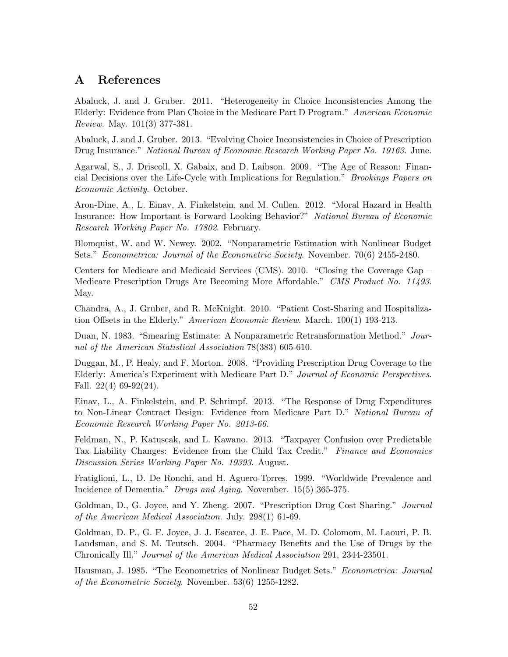## A References

Abaluck, J. and J. Gruber. 2011. "Heterogeneity in Choice Inconsistencies Among the Elderly: Evidence from Plan Choice in the Medicare Part D Program." American Economic Review. May. 101(3) 377-381.

Abaluck, J. and J. Gruber. 2013. "Evolving Choice Inconsistencies in Choice of Prescription Drug Insurance." National Bureau of Economic Research Working Paper No. 19163. June.

Agarwal, S., J. Driscoll, X. Gabaix, and D. Laibson. 2009. "The Age of Reason: Financial Decisions over the Life-Cycle with Implications for Regulation." Brookings Papers on Economic Activity. October.

Aron-Dine, A., L. Einav, A. Finkelstein, and M. Cullen. 2012. "Moral Hazard in Health Insurance: How Important is Forward Looking Behavior?" National Bureau of Economic Research Working Paper No. 17802. February.

Blomquist, W. and W. Newey. 2002. "Nonparametric Estimation with Nonlinear Budget Sets." Econometrica: Journal of the Econometric Society. November. 70(6) 2455-2480.

Centers for Medicare and Medicaid Services (CMS). 2010. "Closing the Coverage Gap – Medicare Prescription Drugs Are Becoming More Affordable." CMS Product No. 11493. May.

Chandra, A., J. Gruber, and R. McKnight. 2010. "Patient Cost-Sharing and Hospitalization Offsets in the Elderly." American Economic Review. March. 100(1) 193-213.

Duan, N. 1983. "Smearing Estimate: A Nonparametric Retransformation Method." Journal of the American Statistical Association 78(383) 605-610.

Duggan, M., P. Healy, and F. Morton. 2008. "Providing Prescription Drug Coverage to the Elderly: America's Experiment with Medicare Part D." Journal of Economic Perspectives. Fall.  $22(4)$  69-92 $(24)$ .

Einav, L., A. Finkelstein, and P. Schrimpf. 2013. "The Response of Drug Expenditures to Non-Linear Contract Design: Evidence from Medicare Part D." National Bureau of Economic Research Working Paper No. 2013-66.

Feldman, N., P. Katuscak, and L. Kawano. 2013. "Taxpayer Confusion over Predictable Tax Liability Changes: Evidence from the Child Tax Credit." Finance and Economics Discussion Series Working Paper No. 19393. August.

Fratiglioni, L., D. De Ronchi, and H. Aguero-Torres. 1999. "Worldwide Prevalence and Incidence of Dementia." Drugs and Aging. November. 15(5) 365-375.

Goldman, D., G. Joyce, and Y. Zheng. 2007. "Prescription Drug Cost Sharing." Journal of the American Medical Association. July. 298(1) 61-69.

Goldman, D. P., G. F. Joyce, J. J. Escarce, J. E. Pace, M. D. Colomom, M. Laouri, P. B. Landsman, and S. M. Teutsch. 2004. "Pharmacy Benefits and the Use of Drugs by the Chronically Ill." Journal of the American Medical Association 291, 2344-23501.

Hausman, J. 1985. "The Econometrics of Nonlinear Budget Sets." Econometrica: Journal of the Econometric Society. November. 53(6) 1255-1282.